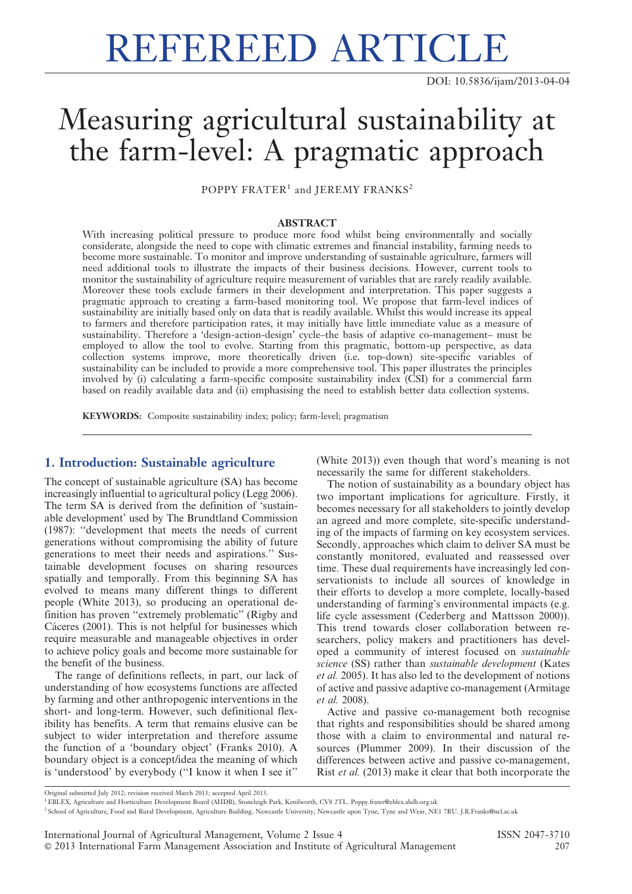# REFEREED ARTICLE

DOI: 10.5836/ijam/2013-04-04

# Measuring agricultural sustainability at the farm-level: A pragmatic approach

POPPY FRATER<sup>1</sup> and JEREMY FRANKS<sup>2</sup>

#### ABSTRACT

With increasing political pressure to produce more food whilst being environmentally and socially considerate, alongside the need to cope with climatic extremes and financial instability, farming needs to become more sustainable. To monitor and improve understanding of sustainable agriculture, farmers will need additional tools to illustrate the impacts of their business decisions. However, current tools to monitor the sustainability of agriculture require measurement of variables that are rarely readily available. Moreover these tools exclude farmers in their development and interpretation. This paper suggests a pragmatic approach to creating a farm-based monitoring tool. We propose that farm-level indices of sustainability are initially based only on data that is readily available. Whilst this would increase its appeal to farmers and therefore participation rates, it may initially have little immediate value as a measure of sustainability. Therefore a 'design-action-design' cycle–the basis of adaptive co-management– must be employed to allow the tool to evolve. Starting from this pragmatic, bottom-up perspective, as data collection systems improve, more theoretically driven (i.e. top-down) site-specific variables of sustainability can be included to provide a more comprehensive tool. This paper illustrates the principles involved by (i) calculating a farm-specific composite sustainability index (CSI) for a commercial farm based on readily available data and (ii) emphasising the need to establish better data collection systems.

KEYWORDS: Composite sustainability index; policy; farm-level; pragmatism

# 1. Introduction: Sustainable agriculture

The concept of sustainable agriculture (SA) has become increasingly influential to agricultural policy (Legg 2006). The term SA is derived from the definition of 'sustainable development' used by The Brundtland Commission (1987): ''development that meets the needs of current generations without compromising the ability of future generations to meet their needs and aspirations.'' Sustainable development focuses on sharing resources spatially and temporally. From this beginning SA has evolved to means many different things to different people (White 2013), so producing an operational definition has proven ''extremely problematic'' (Rigby and Cáceres (2001). This is not helpful for businesses which require measurable and manageable objectives in order to achieve policy goals and become more sustainable for the benefit of the business.

The range of definitions reflects, in part, our lack of understanding of how ecosystems functions are affected by farming and other anthropogenic interventions in the short- and long-term. However, such definitional flexibility has benefits. A term that remains elusive can be subject to wider interpretation and therefore assume the function of a 'boundary object' (Franks 2010). A boundary object is a concept/idea the meaning of which is 'understood' by everybody (''I know it when I see it''

(White 2013)) even though that word's meaning is not necessarily the same for different stakeholders.

The notion of sustainability as a boundary object has two important implications for agriculture. Firstly, it becomes necessary for all stakeholders to jointly develop an agreed and more complete, site-specific understanding of the impacts of farming on key ecosystem services. Secondly, approaches which claim to deliver SA must be constantly monitored, evaluated and reassessed over time. These dual requirements have increasingly led conservationists to include all sources of knowledge in their efforts to develop a more complete, locally-based understanding of farming's environmental impacts (e.g. life cycle assessment (Cederberg and Mattsson 2000)). This trend towards closer collaboration between researchers, policy makers and practitioners has developed a community of interest focused on sustainable science (SS) rather than sustainable development (Kates et al. 2005). It has also led to the development of notions of active and passive adaptive co-management (Armitage et al. 2008).

Active and passive co-management both recognise that rights and responsibilities should be shared among those with a claim to environmental and natural resources (Plummer 2009). In their discussion of the differences between active and passive co-management, Rist et al. (2013) make it clear that both incorporate the

Original submitted July 2012; revision received March 2013; accepted April 2013.

1EBLEX, Agriculture and Horticulture Development Board (AHDB), Stoneleigh Park, Kenilworth, CV8 2TL. Poppy.frater@eblex.ahdb.org.uk

<sup>2</sup> School of Agriculture, Food and Rural Development, Agriculture Building, Newcastle University, Newcastle upon Tyne, Tyne and Wear, NE1 7RU. J.R.Franks@ncl.ac.uk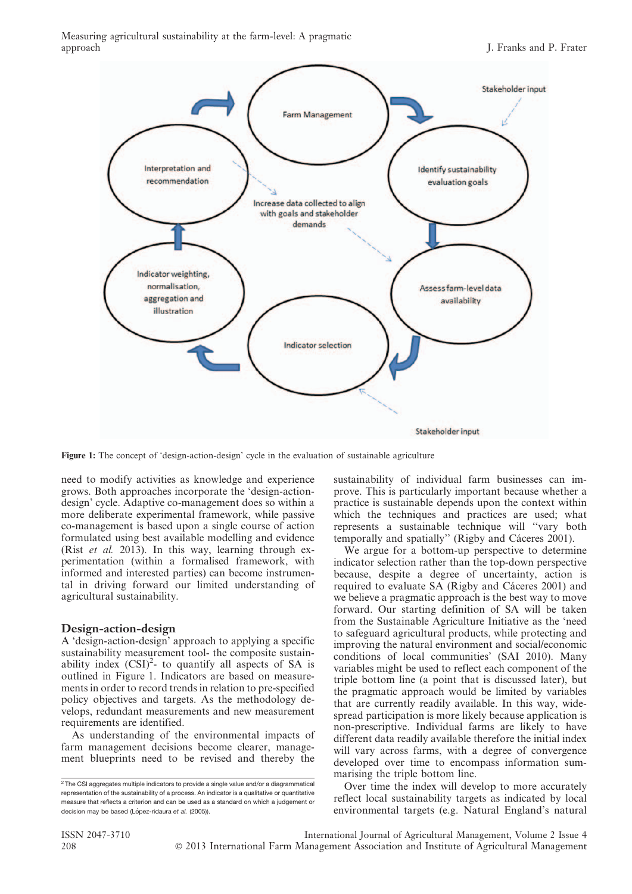Measuring agricultural sustainability at the farm-level: A pragmatic approach **The I. Franks and P. Frater** J. Franks and P. Frater



Figure 1: The concept of 'design-action-design' cycle in the evaluation of sustainable agriculture

need to modify activities as knowledge and experience grows. Both approaches incorporate the 'design-actiondesign' cycle. Adaptive co-management does so within a more deliberate experimental framework, while passive co-management is based upon a single course of action formulated using best available modelling and evidence (Rist et al. 2013). In this way, learning through experimentation (within a formalised framework, with informed and interested parties) can become instrumental in driving forward our limited understanding of agricultural sustainability.

#### Design-action-design

A 'design-action-design' approach to applying a specific sustainability measurement tool- the composite sustainability index  $(CSI)^2$ - to quantify all aspects of SA is outlined in Figure 1. Indicators are based on measurements in order to record trends in relation to pre-specified policy objectives and targets. As the methodology develops, redundant measurements and new measurement requirements are identified.

As understanding of the environmental impacts of farm management decisions become clearer, management blueprints need to be revised and thereby the sustainability of individual farm businesses can improve. This is particularly important because whether a practice is sustainable depends upon the context within which the techniques and practices are used; what represents a sustainable technique will ''vary both temporally and spatially" (Rigby and Cáceres 2001).

We argue for a bottom-up perspective to determine indicator selection rather than the top-down perspective because, despite a degree of uncertainty, action is required to evaluate SA (Rigby and Cáceres 2001) and we believe a pragmatic approach is the best way to move forward. Our starting definition of SA will be taken from the Sustainable Agriculture Initiative as the 'need to safeguard agricultural products, while protecting and improving the natural environment and social/economic conditions of local communities' (SAI 2010). Many variables might be used to reflect each component of the triple bottom line (a point that is discussed later), but the pragmatic approach would be limited by variables that are currently readily available. In this way, widespread participation is more likely because application is non-prescriptive. Individual farms are likely to have different data readily available therefore the initial index will vary across farms, with a degree of convergence developed over time to encompass information summarising the triple bottom line.

Over time the index will develop to more accurately reflect local sustainability targets as indicated by local environmental targets (e.g. Natural England's natural

<sup>&</sup>lt;sup>2</sup> The CSI aggregates multiple indicators to provide a single value and/or a diagrammatical representation of the sustainability of a process. An indicator is a qualitative or quantitative measure that reflects a criterion and can be used as a standard on which a judgement or decision may be based (López-ridaura et al. (2005)).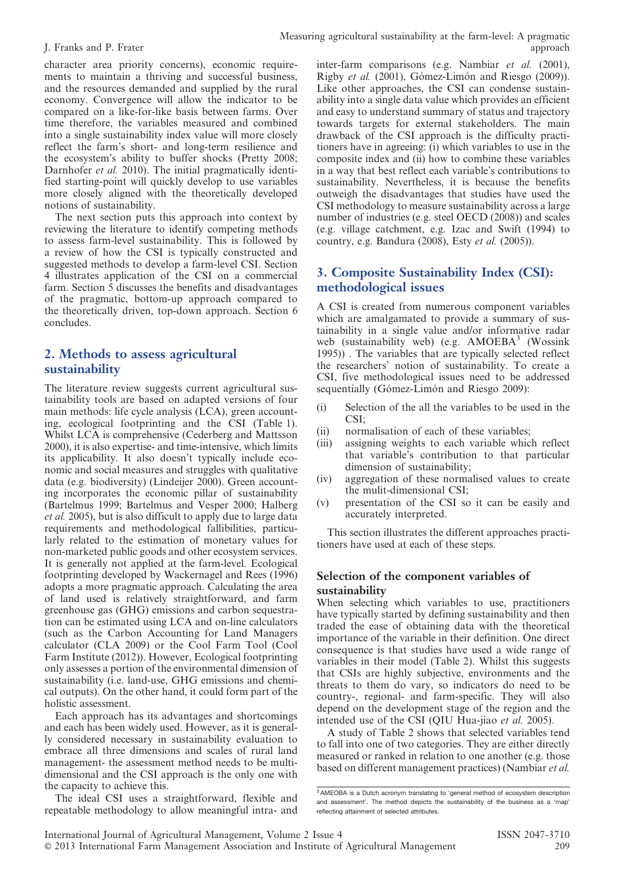character area priority concerns), economic requirements to maintain a thriving and successful business, and the resources demanded and supplied by the rural economy. Convergence will allow the indicator to be compared on a like-for-like basis between farms. Over time therefore, the variables measured and combined into a single sustainability index value will more closely reflect the farm's short- and long-term resilience and the ecosystem's ability to buffer shocks (Pretty 2008; Darnhofer *et al.* 2010). The initial pragmatically identified starting-point will quickly develop to use variables more closely aligned with the theoretically developed notions of sustainability.

The next section puts this approach into context by reviewing the literature to identify competing methods to assess farm-level sustainability. This is followed by a review of how the CSI is typically constructed and suggested methods to develop a farm-level CSI. Section 4 illustrates application of the CSI on a commercial farm. Section 5 discusses the benefits and disadvantages of the pragmatic, bottom-up approach compared to the theoretically driven, top-down approach. Section 6 concludes.

# 2. Methods to assess agricultural sustainability

The literature review suggests current agricultural sustainability tools are based on adapted versions of four main methods: life cycle analysis (LCA), green accounting, ecological footprinting and the CSI (Table 1). Whilst LCA is comprehensive (Cederberg and Mattsson 2000), it is also expertise- and time-intensive, which limits its applicability. It also doesn't typically include economic and social measures and struggles with qualitative data (e.g. biodiversity) (Lindeijer 2000). Green accounting incorporates the economic pillar of sustainability (Bartelmus 1999; Bartelmus and Vesper 2000; Halberg et al. 2005), but is also difficult to apply due to large data requirements and methodological fallibilities, particularly related to the estimation of monetary values for non-marketed public goods and other ecosystem services. It is generally not applied at the farm-level. Ecological footprinting developed by Wackernagel and Rees (1996) adopts a more pragmatic approach. Calculating the area of land used is relatively straightforward, and farm greenhouse gas (GHG) emissions and carbon sequestration can be estimated using LCA and on-line calculators (such as the Carbon Accounting for Land Managers calculator (CLA 2009) or the Cool Farm Tool (Cool Farm Institute (2012)). However, Ecological footprinting only assesses a portion of the environmental dimension of sustainability (i.e. land-use, GHG emissions and chemical outputs). On the other hand, it could form part of the holistic assessment.

Each approach has its advantages and shortcomings and each has been widely used. However, as it is generally considered necessary in sustainability evaluation to embrace all three dimensions and scales of rural land management- the assessment method needs to be multidimensional and the CSI approach is the only one with the capacity to achieve this.

The ideal CSI uses a straightforward, flexible and repeatable methodology to allow meaningful intra- and inter-farm comparisons (e.g. Nambiar et al. (2001), Rigby et al. (2001), Gómez-Limón and Riesgo (2009)). Like other approaches, the CSI can condense sustainability into a single data value which provides an efficient and easy to understand summary of status and trajectory towards targets for external stakeholders. The main drawback of the CSI approach is the difficulty practitioners have in agreeing: (i) which variables to use in the composite index and (ii) how to combine these variables in a way that best reflect each variable's contributions to sustainability. Nevertheless, it is because the benefits outweigh the disadvantages that studies have used the CSI methodology to measure sustainability across a large number of industries (e.g. steel OECD (2008)) and scales (e.g. village catchment, e.g. Izac and Swift (1994) to country, e.g. Bandura (2008), Esty et al. (2005)).

# 3. Composite Sustainability Index (CSI): methodological issues

A CSI is created from numerous component variables which are amalgamated to provide a summary of sustainability in a single value and/or informative radar web (sustainability web) (e.g.  $AMOEBA<sup>3</sup>$  (Wossink) 1995)) . The variables that are typically selected reflect the researchers' notion of sustainability. To create a CSI, five methodological issues need to be addressed sequentially (Gómez-Limón and Riesgo 2009):

- (i) Selection of the all the variables to be used in the CSI;
- (ii) normalisation of each of these variables;
- (iii) assigning weights to each variable which reflect that variable's contribution to that particular dimension of sustainability;
- (iv) aggregation of these normalised values to create the mulit-dimensional CSI;
- (v) presentation of the CSI so it can be easily and accurately interpreted.

This section illustrates the different approaches practitioners have used at each of these steps.

### Selection of the component variables of sustainability

When selecting which variables to use, practitioners have typically started by defining sustainability and then traded the ease of obtaining data with the theoretical importance of the variable in their definition. One direct consequence is that studies have used a wide range of variables in their model (Table 2). Whilst this suggests that CSIs are highly subjective, environments and the threats to them do vary, so indicators do need to be country-, regional- and farm-specific. They will also depend on the development stage of the region and the intended use of the CSI (QIU Hua-jiao et al. 2005).

A study of Table 2 shows that selected variables tend to fall into one of two categories. They are either directly measured or ranked in relation to one another (e.g. those based on different management practices) (Nambiar et al.

<sup>&</sup>lt;sup>3</sup> AMEOBA is a Dutch acronym translating to 'general method of ecosystem description and assessment'. The method depicts the sustainability of the business as a 'map' reflecting attainment of selected attributes.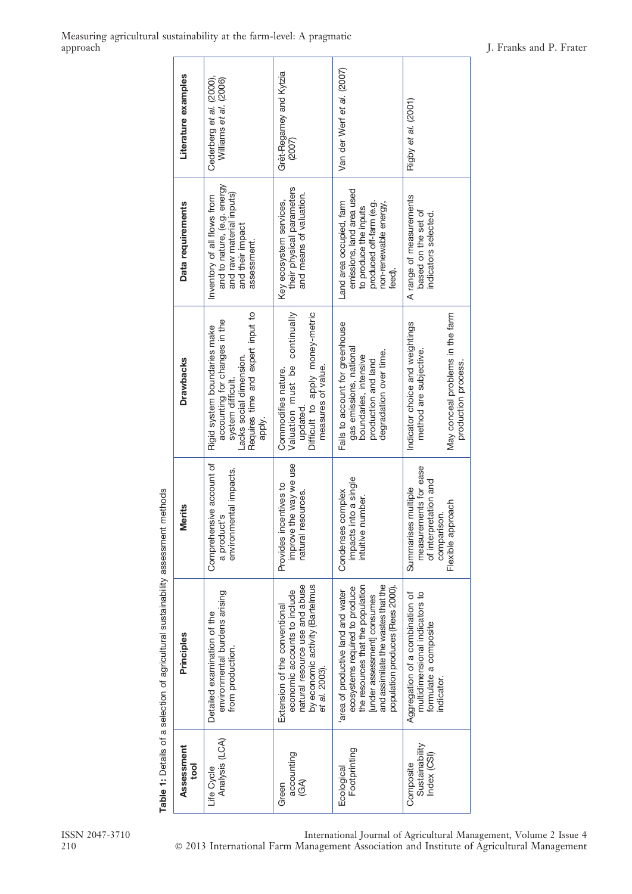|                                                                                   | Literature examples | Cederberg et al. (2000),<br>Williams et al. (2006)                                                                                                           | Grêt-Regamey and Kytzia<br>(2007)                                                                                                                   | Van der Werf et al. (2007)                                                                                                                                                                                        | Rigby et al. (2001)                                                                                                  |
|-----------------------------------------------------------------------------------|---------------------|--------------------------------------------------------------------------------------------------------------------------------------------------------------|-----------------------------------------------------------------------------------------------------------------------------------------------------|-------------------------------------------------------------------------------------------------------------------------------------------------------------------------------------------------------------------|----------------------------------------------------------------------------------------------------------------------|
|                                                                                   | Data requirements   | and to nature, (e.g. energy<br>and raw material inputs)<br>Inventory of all flows from<br>and their impact<br>assessment.                                    | their physical parameters<br>and means of valuation.<br>Key ecosystem services,                                                                     | emissions, land area used<br>Land area occupied, farm<br>produced off-farm (e.g.<br>non-renewable energy,<br>to produce the inputs<br>feed).                                                                      | A range of measurements<br>based on the set of<br>indicators selected.                                               |
|                                                                                   | <b>Drawbacks</b>    | Requires time and expert input to<br>accounting for changes in the<br>Rigid system boundaries make<br>Lacks social dimension.<br>system difficult.<br>apply. | Valuation must be continually<br>Difficult to apply money-metric<br>measures of value.<br>Commodifies nature.<br>updated.                           | Fails to account for greenhouse<br>gas emissions, national<br>degradation over time.<br>boundaries, intensive<br>production and land                                                                              | May conceal problems in the farm<br>Indicator choice and weightings<br>method are subjective.<br>production process. |
| Table 1: Details of a selection of agricultural sustainability assessment methods | <b>Merits</b>       | Comprehensive account of<br>environmental impacts.<br>a product's                                                                                            | improve the way we use<br>Provides incentives to<br>resources.<br>natural                                                                           | impacts into a single<br>Condenses complex<br>intuitive number.                                                                                                                                                   | measurements for ease<br>of interpretation and<br>Summarises multiple<br>Flexible approach<br>comparison.            |
|                                                                                   | Principles          | environmental burdens arising<br>Detailed examination of the<br>from production.                                                                             | natural resource use and abuse<br>by economic activity (Bartelmus<br>economic accounts to include<br>Extension of the conventional<br>et al. 2003). | the resources that the population<br>and assimilate the wastes that the<br>population produces (Rees 2000).<br>ecosystems required to produce<br>area of productive land and water<br>[under assessment] consumes | multidimensional indicators to<br>Aggregation of a combination of<br>formulate a composite<br>indicator.             |
|                                                                                   | Assessment<br>tool  | Analysis (LCA)<br>Life Cvcle                                                                                                                                 | accounting<br>$\mathfrak{F}$<br>Green                                                                                                               | Footprinting<br>Ecological                                                                                                                                                                                        | Sustainability<br>Index (CSI)<br>Composite                                                                           |

mathade ahilitu

ISSN 2047-3710 International Journal of Agricultural Management, Volume 2 Issue 4<br>210  $\degree$  2013 International Farm Management Association and Institute of Agricultural Management  $\odot$  2013 International Farm Management Association and Institute of Agricultural Management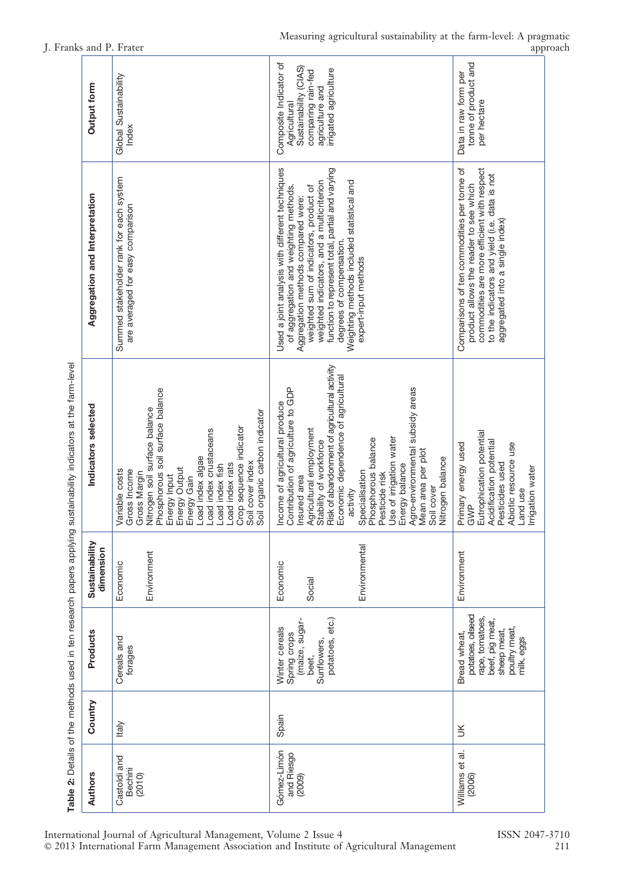| Output form                                                                      | Global Sustainability<br>Index                                                                                                                                                                                                                                                                                                          | Composite Indicator of<br>Sustainability (CIAS)<br>irrigated agriculture<br>comparing rain-fed<br>agriculture and<br>Agricultural                                                                                                                                                                                                                                                                                                                | tonne of product and<br>Data in raw form per<br>per hectare                                                                                                                                                              |
|----------------------------------------------------------------------------------|-----------------------------------------------------------------------------------------------------------------------------------------------------------------------------------------------------------------------------------------------------------------------------------------------------------------------------------------|--------------------------------------------------------------------------------------------------------------------------------------------------------------------------------------------------------------------------------------------------------------------------------------------------------------------------------------------------------------------------------------------------------------------------------------------------|--------------------------------------------------------------------------------------------------------------------------------------------------------------------------------------------------------------------------|
| Aggregation and Interpretation                                                   | Summed stakeholder rank for each system<br>are averaged for easy comparison                                                                                                                                                                                                                                                             | Used a joint analysis with different techniques<br>function to represent total, partial and varying<br>Weighting methods included statistical and<br>weighted indicators, and a multicriterion<br>weighted sum of indicators, product of<br>of aggregation and weighting methods<br>Aggregation methods compared were:<br>degrees of compensation.<br>expert-input methods                                                                       | Comparisons of ten commodities per tonne of<br>commodities are more efficient with respect<br>to the indicators and yield (i.e. data is not<br>product allows the reader to see which<br>aggregated into a single index) |
| Indicators selected                                                              | Phosphorous soil surface balance<br>Nitrogen soil surface balance<br>Soil organic carbon indicator<br>Crop sequence indicator<br>Load index crustaceans<br>Load index algae<br>Soil cover index<br>Load index rats<br>Load index fish<br>Energy Output<br>Variable costs<br>Gross Income<br>Gross Margin<br>Energy Input<br>Energy Gain | Risk of abandonment of agricultural activity<br>Economic dependence of agricultural<br>Agro-environmental subsidy areas<br>Contribution of agriculture to GDP<br>Income of agricultural produce<br>Agricultural employment<br>Phosphorous balance<br>Use of irrigation water<br>Stability of workforce<br>Mean area per plot<br>Nitrogen balance<br>Energy balance<br>Specialisation<br>Pesticide risk<br>Insured area<br>Soil cover<br>activity | Eutrophication potential<br>Acidification potential<br>Primary energy used<br>Abiotic resource use<br>Pesticides used<br>Irrigation water<br>Land use<br>GWP                                                             |
| Sustainability<br>dimension                                                      | Environment<br>Economic                                                                                                                                                                                                                                                                                                                 | Environmental<br>Economic<br>Social                                                                                                                                                                                                                                                                                                                                                                                                              | Environment                                                                                                                                                                                                              |
| Table 2: Details of the methods used in ten research papers applying<br>Products | Cereals and<br>forages                                                                                                                                                                                                                                                                                                                  | potatoes, etc.)<br>(maize, sugar-<br>Winter cereals<br>Spring crops<br>Sunflowers,<br>beet,                                                                                                                                                                                                                                                                                                                                                      | potatoes, oilseed<br>rape, tomatoes,<br>beef, pig meat,<br>poultry meat,<br>sheep meat,<br>Bread wheat,<br>milk, eggs                                                                                                    |
| Country                                                                          | Italy                                                                                                                                                                                                                                                                                                                                   | Spain                                                                                                                                                                                                                                                                                                                                                                                                                                            | š                                                                                                                                                                                                                        |
| Authors                                                                          | Castoldi and<br><b>Bechini</b><br>(2010)                                                                                                                                                                                                                                                                                                | Gómez-Limón<br>and Riesgo<br>(2009)                                                                                                                                                                                                                                                                                                                                                                                                              | Williams et al.<br>(2006)                                                                                                                                                                                                |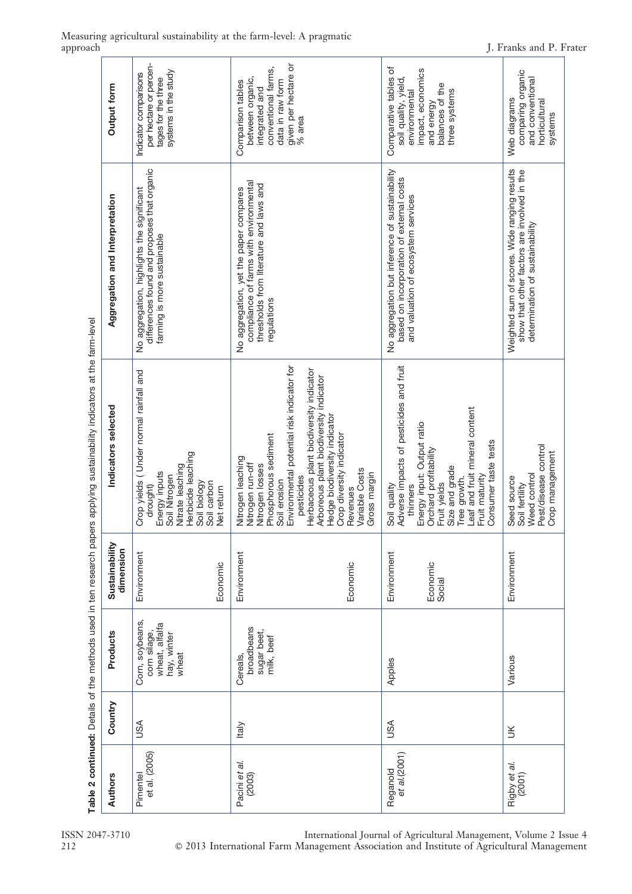| Output form                                                                                                                                       | per hectare or percen-<br>systems in the study<br>Indicator comparisons<br>tages for the three                                                                              | given per hectare or<br>conventional farms,<br>between organic,<br>data in raw form<br>Comparison tables<br>integrated and<br>% area                                                                                                                                                                                                                        | Comparative tables of<br>impact, economics<br>soil quality, yield,<br>balances of the<br>three systems<br>environmental<br>and energy                                                                                                                    | comparing organic<br>and conventional<br>Web diagrams<br>horticultural<br>systems                                              |
|---------------------------------------------------------------------------------------------------------------------------------------------------|-----------------------------------------------------------------------------------------------------------------------------------------------------------------------------|-------------------------------------------------------------------------------------------------------------------------------------------------------------------------------------------------------------------------------------------------------------------------------------------------------------------------------------------------------------|----------------------------------------------------------------------------------------------------------------------------------------------------------------------------------------------------------------------------------------------------------|--------------------------------------------------------------------------------------------------------------------------------|
| Aggregation and Interpretation                                                                                                                    | differences found and proposes that organic<br>No aggregation, highlights the significant<br>farming is more sustainable                                                    | compliance of farms with environmental<br>thresholds from literature and laws and<br>No aggregation, yet the paper compares<br>regulations                                                                                                                                                                                                                  | No aggregation but inference of sustainability<br>based on incorporation of external costs<br>and valuation of ecosystem services                                                                                                                        | Weighted sum of scores. Wide ranging results<br>show that other factors are involved in the<br>determination of sustainability |
| Table 2 continued: Details of the methods used in ten research papers applying sustainability indicators at the farm-level<br>Indicators selected | Crop yields (Under normal rainfall and<br>Herbicide leaching<br>Nitrate leaching<br>Energy inputs<br>Soil Nitrogen<br>Soil biology<br>Soil carbon<br>drought)<br>Net return | Environmental potential risk indicator for<br>Herbaceous plant biodiversity indicator<br>Arboreous plant biodiversity indicator<br>Hedge biodiversity indicator<br>Phosphorous sediment<br>Crop diversity indicator<br>Nitrogen leaching<br>Nitrogen run-off<br>Nitrogen losses<br>Variable Costs<br>Gross margin<br>pesticides<br>Soil erosion<br>Revenues | Adverse impacts of pesticides and fruit<br>Leaf and fruit mineral content<br>Energy input: Output ratio<br>Consumer taste tests<br>Orchard profitability<br>Size and grade<br>Fruit maturity<br>Tree growth.<br>Fruit yields<br>thinners<br>Soil quality | Pest/disease control<br>Crop management<br>Weed control<br>Seed source<br>Soil fertility                                       |
| Sustainability<br>dimension                                                                                                                       | Environment<br>Economic                                                                                                                                                     | Environment<br>Economic                                                                                                                                                                                                                                                                                                                                     | Environment<br>Economic<br>Social                                                                                                                                                                                                                        | Environment                                                                                                                    |
| Products                                                                                                                                          | Corn, soybeans,<br>wheat, alfalfa<br>corn silage,<br>hay, winter<br>wheat                                                                                                   | broadbeans<br>sugar beet,<br>milk, beef<br>Cereals,                                                                                                                                                                                                                                                                                                         | Apples                                                                                                                                                                                                                                                   | Various                                                                                                                        |
| Country                                                                                                                                           | SSU                                                                                                                                                                         | <b>Italy</b>                                                                                                                                                                                                                                                                                                                                                | SA                                                                                                                                                                                                                                                       | š                                                                                                                              |
| Authors                                                                                                                                           | et al. (2005)<br>Pimentel                                                                                                                                                   | Pacini et al.<br>(2003)                                                                                                                                                                                                                                                                                                                                     | $et$ al. $(2001)$<br>Reganold                                                                                                                                                                                                                            | Rigby et al.<br>(2001)                                                                                                         |

# Measuring agricultural sustainability at the farm-level: A pragmatic

212

ISSN 2047-3710 International Journal of Agricultural Management, Volume 2 Issue 4 ' 2013 International Farm Management Association and Institute of Agricultural Management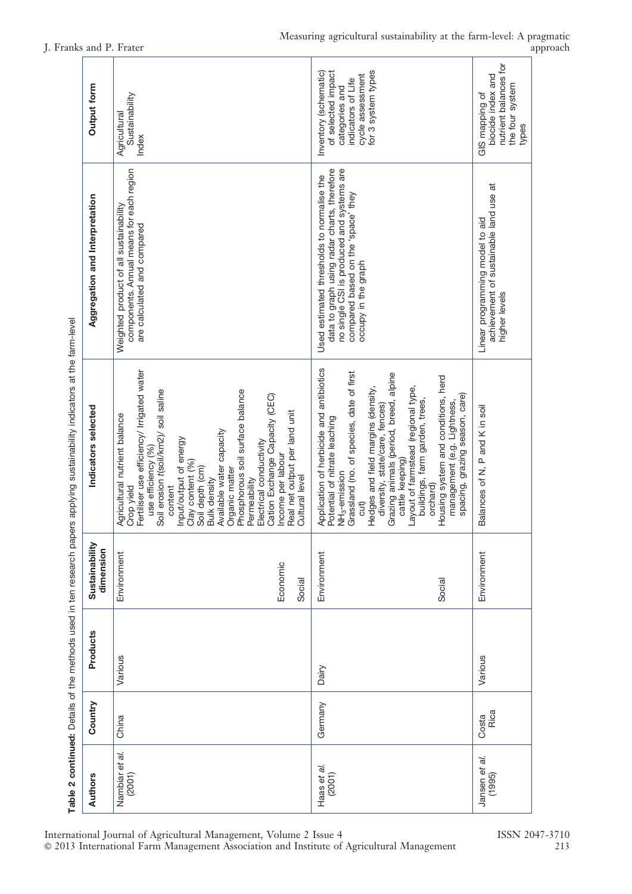| Output form                    | Sustainability<br>Agricultural<br>Index                                                                                                                                                                                                                                                                                                                                                                                                                                                     | for 3 system types<br>Inventory (schematic)<br>of selected impact<br>cycle assessment<br>indicators of Life<br>categories and                                                                                                                                                                                                                                                                                                                                                                | nutrient balances for<br>biocide index and<br>the four system<br>GIS mapping of<br>types   |
|--------------------------------|---------------------------------------------------------------------------------------------------------------------------------------------------------------------------------------------------------------------------------------------------------------------------------------------------------------------------------------------------------------------------------------------------------------------------------------------------------------------------------------------|----------------------------------------------------------------------------------------------------------------------------------------------------------------------------------------------------------------------------------------------------------------------------------------------------------------------------------------------------------------------------------------------------------------------------------------------------------------------------------------------|--------------------------------------------------------------------------------------------|
| Aggregation and Interpretation | components. Annual means for each region<br>Weighted product of all sustainability<br>are calculated and compared                                                                                                                                                                                                                                                                                                                                                                           | data to graph using radar charts, therefore<br>no single CSI is produced and systems are<br>Used estimated thresholds to normalise the<br>compared based on the 'space' they<br>occupy in the graph                                                                                                                                                                                                                                                                                          | achievement of sustainable land use at<br>Linear programming model to aid<br>higher levels |
| Indicators selected            | Fertiliser use efficiency/ Irrigated water<br>Soil erosion t(soil/km2)/ soil saline<br>Phosphorous soil surface balance<br>Cation Exchange Capacity (CEC)<br>Real net output per land unit<br>Agricultural nutrient balance<br>Available water capacity<br>Input/output of energy<br>Electrical conductivity<br>use efficiency (%)<br>Income per labour<br>Clay content (%)<br>Soil depth (cm)<br>Organic matter<br>Cultural level<br>Bulk density<br>Permeability<br>content<br>Crop yield | Application of herbicide and antibiotics<br>Grassland (no. of species, date of first<br>Grazing animals (period, breed, alpine<br>Housing system and conditions, herd<br>Layout of farmstead (regional type,<br>Hedges and field margins (density,<br>spacing, grazing season, care)<br>buildings, farm garden, trees,<br>management (e.g. Lightness,<br>diversity, state/care, fences)<br>Potential of nitrate leaching<br>cattle keeping)<br>NH <sub>3</sub> -emission<br>orchard)<br>cut) | Balances of N, P and K in soil                                                             |
| Sustainability<br>dimension    | Environment<br>Economic<br>Social                                                                                                                                                                                                                                                                                                                                                                                                                                                           | Environment<br>Social                                                                                                                                                                                                                                                                                                                                                                                                                                                                        | Environment                                                                                |
| Products                       | Various                                                                                                                                                                                                                                                                                                                                                                                                                                                                                     | Dairy                                                                                                                                                                                                                                                                                                                                                                                                                                                                                        | Various                                                                                    |
| Country                        | China                                                                                                                                                                                                                                                                                                                                                                                                                                                                                       | Germany                                                                                                                                                                                                                                                                                                                                                                                                                                                                                      | Rica<br>Costa                                                                              |
| Authors                        | Nambiar et al.<br>(2001)                                                                                                                                                                                                                                                                                                                                                                                                                                                                    | Haas et al.<br>(2001)                                                                                                                                                                                                                                                                                                                                                                                                                                                                        | Jansen et al.<br>(1995)                                                                    |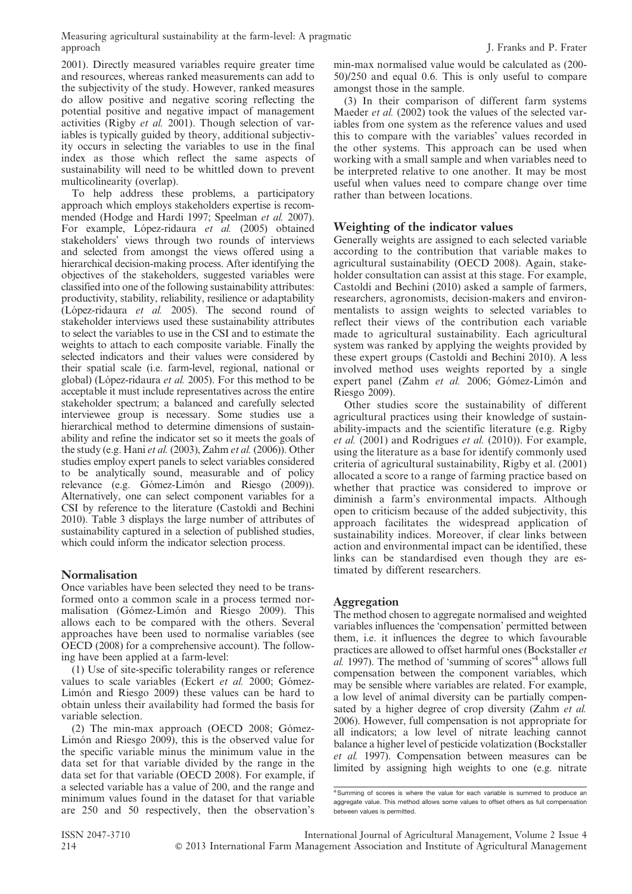Measuring agricultural sustainability at the farm-level: A pragmatic approach J. Franks and P. Frater

2001). Directly measured variables require greater time and resources, whereas ranked measurements can add to the subjectivity of the study. However, ranked measures do allow positive and negative scoring reflecting the potential positive and negative impact of management activities (Rigby et al. 2001). Though selection of variables is typically guided by theory, additional subjectivity occurs in selecting the variables to use in the final index as those which reflect the same aspects of sustainability will need to be whittled down to prevent multicolinearity (overlap).

To help address these problems, a participatory approach which employs stakeholders expertise is recommended (Hodge and Hardi 1997; Speelman et al. 2007). For example, López-ridaura et al. (2005) obtained stakeholders' views through two rounds of interviews and selected from amongst the views offered using a hierarchical decision-making process. After identifying the objectives of the stakeholders, suggested variables were classified into one of the following sustainability attributes: productivity, stability, reliability, resilience or adaptability (López-ridaura et al. 2005). The second round of stakeholder interviews used these sustainability attributes to select the variables to use in the CSI and to estimate the weights to attach to each composite variable. Finally the selected indicators and their values were considered by their spatial scale (i.e. farm-level, regional, national or global) (López-ridaura *et al.* 2005). For this method to be acceptable it must include representatives across the entire stakeholder spectrum; a balanced and carefully selected interviewee group is necessary. Some studies use a hierarchical method to determine dimensions of sustainability and refine the indicator set so it meets the goals of the study (e.g. Hani et al. (2003), Zahm et al. (2006)). Other studies employ expert panels to select variables considered to be analytically sound, measurable and of policy relevance (e.g. Gómez-Limón and Riesgo (2009)). Alternatively, one can select component variables for a CSI by reference to the literature (Castoldi and Bechini 2010). Table 3 displays the large number of attributes of sustainability captured in a selection of published studies, which could inform the indicator selection process.

#### Normalisation

Once variables have been selected they need to be transformed onto a common scale in a process termed normalisation (Gómez-Limón and Riesgo 2009). This allows each to be compared with the others. Several approaches have been used to normalise variables (see OECD (2008) for a comprehensive account). The following have been applied at a farm-level:

(1) Use of site-specific tolerability ranges or reference values to scale variables (Eckert  $et$   $al.$  2000; Gómez-Limón and Riesgo 2009) these values can be hard to obtain unless their availability had formed the basis for variable selection.

(2) The min-max approach (OECD 2008; Gómez-Limón and Riesgo 2009), this is the observed value for the specific variable minus the minimum value in the data set for that variable divided by the range in the data set for that variable (OECD 2008). For example, if a selected variable has a value of 200, and the range and minimum values found in the dataset for that variable are 250 and 50 respectively, then the observation's

min-max normalised value would be calculated as (200- 50)/250 and equal 0.6. This is only useful to compare amongst those in the sample.

(3) In their comparison of different farm systems Maeder *et al.* (2002) took the values of the selected variables from one system as the reference values and used this to compare with the variables' values recorded in the other systems. This approach can be used when working with a small sample and when variables need to be interpreted relative to one another. It may be most useful when values need to compare change over time rather than between locations.

#### Weighting of the indicator values

Generally weights are assigned to each selected variable according to the contribution that variable makes to agricultural sustainability (OECD 2008). Again, stakeholder consultation can assist at this stage. For example, Castoldi and Bechini (2010) asked a sample of farmers, researchers, agronomists, decision-makers and environmentalists to assign weights to selected variables to reflect their views of the contribution each variable made to agricultural sustainability. Each agricultural system was ranked by applying the weights provided by these expert groups (Castoldi and Bechini 2010). A less involved method uses weights reported by a single expert panel (Zahm et al. 2006; Gómez-Limón and Riesgo 2009).

Other studies score the sustainability of different agricultural practices using their knowledge of sustainability-impacts and the scientific literature (e.g. Rigby et al. (2001) and Rodrigues et al. (2010)). For example, using the literature as a base for identify commonly used criteria of agricultural sustainability, Rigby et al. (2001) allocated a score to a range of farming practice based on whether that practice was considered to improve or diminish a farm's environmental impacts. Although open to criticism because of the added subjectivity, this approach facilitates the widespread application of sustainability indices. Moreover, if clear links between action and environmental impact can be identified, these links can be standardised even though they are estimated by different researchers.

#### Aggregation

The method chosen to aggregate normalised and weighted variables influences the 'compensation' permitted between them, i.e. it influences the degree to which favourable practices are allowed to offset harmful ones (Bockstaller et al. 1997). The method of 'summing of scores'4 allows full compensation between the component variables, which may be sensible where variables are related. For example, a low level of animal diversity can be partially compensated by a higher degree of crop diversity (Zahm et al. 2006). However, full compensation is not appropriate for all indicators; a low level of nitrate leaching cannot balance a higher level of pesticide volatization (Bockstaller et al. 1997). Compensation between measures can be limited by assigning high weights to one (e.g. nitrate

<sup>&</sup>lt;sup>4</sup> Summing of scores is where the value for each variable is summed to produce an aggregate value. This method allows some values to offset others as full compensation between values is permitted.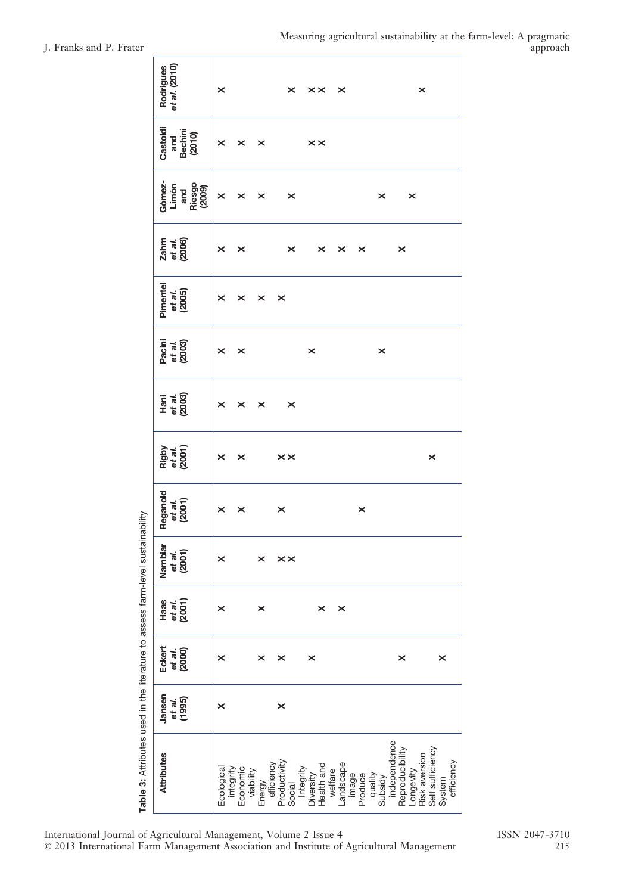| J. Franks and P. Frater | Measuring agricultural sustainability at the farm-level: A pragmatic | approach |
|-------------------------|----------------------------------------------------------------------|----------|
|                         |                                                                      |          |

| et al. (2010)<br>Rodrigues                 | ×                     |                                    |                      | $\boldsymbol{\times}$  | $\times\times$                       | $\boldsymbol{\times}$         |         |                    |                                 | $\times$                   |                            |            |
|--------------------------------------------|-----------------------|------------------------------------|----------------------|------------------------|--------------------------------------|-------------------------------|---------|--------------------|---------------------------------|----------------------------|----------------------------|------------|
| Castoldi<br>Bechini<br>(2010)<br>and       | $\boldsymbol{\times}$ | ×                                  | ×                    |                        | $\times\times$                       |                               |         |                    |                                 |                            |                            |            |
| Gómez-<br>Riesgo<br>(2009)<br>Limón<br>and | $\times$              | $\boldsymbol{\times}$              | ×                    | ×                      |                                      |                               |         | ×                  |                                 | $\boldsymbol{\times}$      |                            |            |
| Zahm<br>et al.<br>(2006)                   | ×                     | ×                                  |                      | ×                      | ×                                    | ×                             | ×       |                    | ×                               |                            |                            |            |
| Pimentel<br>et al.<br>(2005)               | ×                     | ×                                  | ×                    | ×                      |                                      |                               |         |                    |                                 |                            |                            |            |
| Pacini<br>et <i>al.</i><br>(2003)          | ×                     | $\times$                           |                      |                        | $\times$                             |                               |         | $\times$           |                                 |                            |                            |            |
| Hani<br>et al.<br>(2003)                   | ×                     | ×                                  | ×                    | $\boldsymbol{\times}$  |                                      |                               |         |                    |                                 |                            |                            |            |
| Rigby<br>et al.<br>(2001)                  | ×                     | ×                                  |                      | $\times\times$         |                                      |                               |         |                    |                                 |                            | ×                          |            |
| Reganold<br>et al.<br>(2001)               | ×                     | ×                                  |                      | ×                      |                                      |                               | ×       |                    |                                 |                            |                            |            |
| Nambiar<br>et al.<br>(2001)                | ×                     |                                    | ×                    | $\times\times$         |                                      |                               |         |                    |                                 |                            |                            |            |
| et al.<br>(2001)<br>Haas                   | $\boldsymbol{\times}$ |                                    | $\times$             |                        | ×                                    | $\times$                      |         |                    |                                 |                            |                            |            |
| Eckert<br>et al.<br>(2000)                 | $\boldsymbol{\times}$ |                                    | ×                    | ×                      | $\times$                             |                               |         |                    | ×                               |                            | $\times$                   |            |
| Jansen<br>et al.<br>(1995)                 | $\boldsymbol{\times}$ |                                    |                      | ×                      |                                      |                               |         |                    |                                 |                            |                            |            |
| <b>Attributes</b>                          | Ecological            | Economic<br>viability<br>integrity | efficiency<br>Energy | Productivity<br>Social | Health and<br>Integrity<br>Diversity | Landscape<br>welfare<br>image | Produce | quality<br>Subsidy | independence<br>Reproducibility | Longevity<br>Risk aversion | Self sufficiency<br>System | efficiency |

Table 3: Attributes used in the literature to assess farm-level sustainability Table 3: Attributes used in the literature to assess farm-level sustainability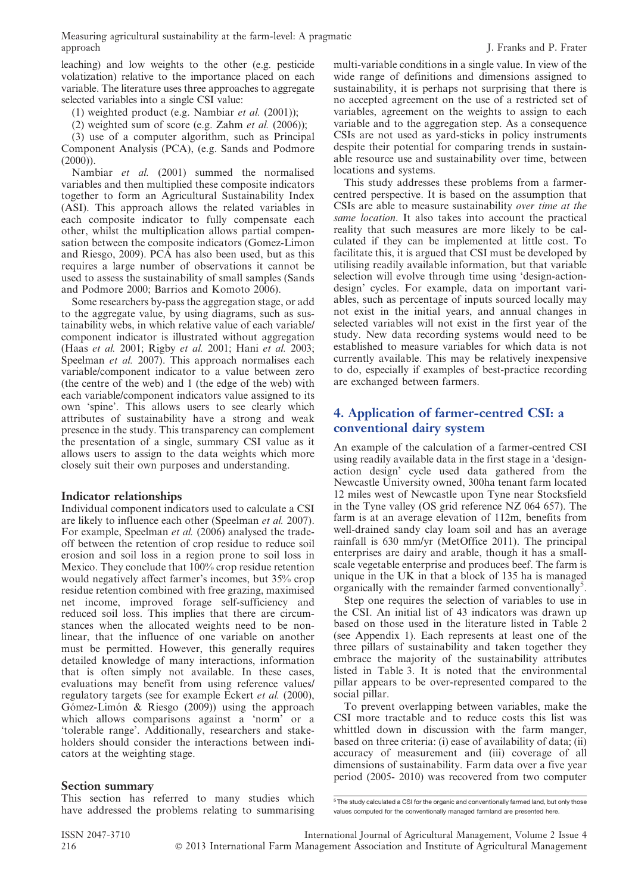leaching) and low weights to the other (e.g. pesticide volatization) relative to the importance placed on each variable. The literature uses three approaches to aggregate selected variables into a single CSI value:

(1) weighted product (e.g. Nambiar *et al.*  $(2001)$ );

(2) weighted sum of score (e.g. Zahm *et al.*  $(2006)$ );

(3) use of a computer algorithm, such as Principal Component Analysis (PCA), (e.g. Sands and Podmore  $(2000)$ ).

Nambiar et al. (2001) summed the normalised variables and then multiplied these composite indicators together to form an Agricultural Sustainability Index (ASI). This approach allows the related variables in each composite indicator to fully compensate each other, whilst the multiplication allows partial compensation between the composite indicators (Gomez-Limon and Riesgo, 2009). PCA has also been used, but as this requires a large number of observations it cannot be used to assess the sustainability of small samples (Sands and Podmore 2000; Barrios and Komoto 2006).

Some researchers by-pass the aggregation stage, or add to the aggregate value, by using diagrams, such as sustainability webs, in which relative value of each variable/ component indicator is illustrated without aggregation (Haas et al. 2001; Rigby et al. 2001; Hani et al. 2003; Speelman *et al.* 2007). This approach normalises each variable/component indicator to a value between zero (the centre of the web) and 1 (the edge of the web) with each variable/component indicators value assigned to its own 'spine'. This allows users to see clearly which attributes of sustainability have a strong and weak presence in the study. This transparency can complement the presentation of a single, summary CSI value as it allows users to assign to the data weights which more closely suit their own purposes and understanding.

#### Indicator relationships

Individual component indicators used to calculate a CSI are likely to influence each other (Speelman et al. 2007). For example, Speelman *et al.* (2006) analysed the tradeoff between the retention of crop residue to reduce soil erosion and soil loss in a region prone to soil loss in Mexico. They conclude that 100% crop residue retention would negatively affect farmer's incomes, but 35% crop residue retention combined with free grazing, maximised net income, improved forage self-sufficiency and reduced soil loss. This implies that there are circumstances when the allocated weights need to be nonlinear, that the influence of one variable on another must be permitted. However, this generally requires detailed knowledge of many interactions, information that is often simply not available. In these cases, evaluations may benefit from using reference values/ regulatory targets (see for example Eckert et al. (2000), Gómez-Limón & Riesgo  $(2009)$ ) using the approach which allows comparisons against a 'norm' or a 'tolerable range'. Additionally, researchers and stakeholders should consider the interactions between indicators at the weighting stage.

#### Section summary

This section has referred to many studies which have addressed the problems relating to summarising multi-variable conditions in a single value. In view of the wide range of definitions and dimensions assigned to sustainability, it is perhaps not surprising that there is no accepted agreement on the use of a restricted set of variables, agreement on the weights to assign to each variable and to the aggregation step. As a consequence CSIs are not used as yard-sticks in policy instruments despite their potential for comparing trends in sustainable resource use and sustainability over time, between locations and systems.

This study addresses these problems from a farmercentred perspective. It is based on the assumption that CSIs are able to measure sustainability over time at the same location. It also takes into account the practical reality that such measures are more likely to be calculated if they can be implemented at little cost. To facilitate this, it is argued that CSI must be developed by utilising readily available information, but that variable selection will evolve through time using 'design-actiondesign' cycles. For example, data on important variables, such as percentage of inputs sourced locally may not exist in the initial years, and annual changes in selected variables will not exist in the first year of the study. New data recording systems would need to be established to measure variables for which data is not currently available. This may be relatively inexpensive to do, especially if examples of best-practice recording are exchanged between farmers.

# 4. Application of farmer-centred CSI: a conventional dairy system

An example of the calculation of a farmer-centred CSI using readily available data in the first stage in a 'designaction design' cycle used data gathered from the Newcastle University owned, 300ha tenant farm located 12 miles west of Newcastle upon Tyne near Stocksfield in the Tyne valley (OS grid reference NZ 064 657). The farm is at an average elevation of 112m, benefits from well-drained sandy clay loam soil and has an average rainfall is 630 mm/yr (MetOffice 2011). The principal enterprises are dairy and arable, though it has a smallscale vegetable enterprise and produces beef. The farm is unique in the UK in that a block of 135 ha is managed organically with the remainder farmed conventionally<sup>5</sup>.

Step one requires the selection of variables to use in the CSI. An initial list of 43 indicators was drawn up based on those used in the literature listed in Table 2 (see Appendix 1). Each represents at least one of the three pillars of sustainability and taken together they embrace the majority of the sustainability attributes listed in Table 3. It is noted that the environmental pillar appears to be over-represented compared to the social pillar.

To prevent overlapping between variables, make the CSI more tractable and to reduce costs this list was whittled down in discussion with the farm manger, based on three criteria: (i) ease of availability of data; (ii) accuracy of measurement and (iii) coverage of all dimensions of sustainability. Farm data over a five year period (2005- 2010) was recovered from two computer

<sup>5</sup> The study calculated a CSI for the organic and conventionally farmed land, but only those values computed for the conventionally managed farmland are presented here.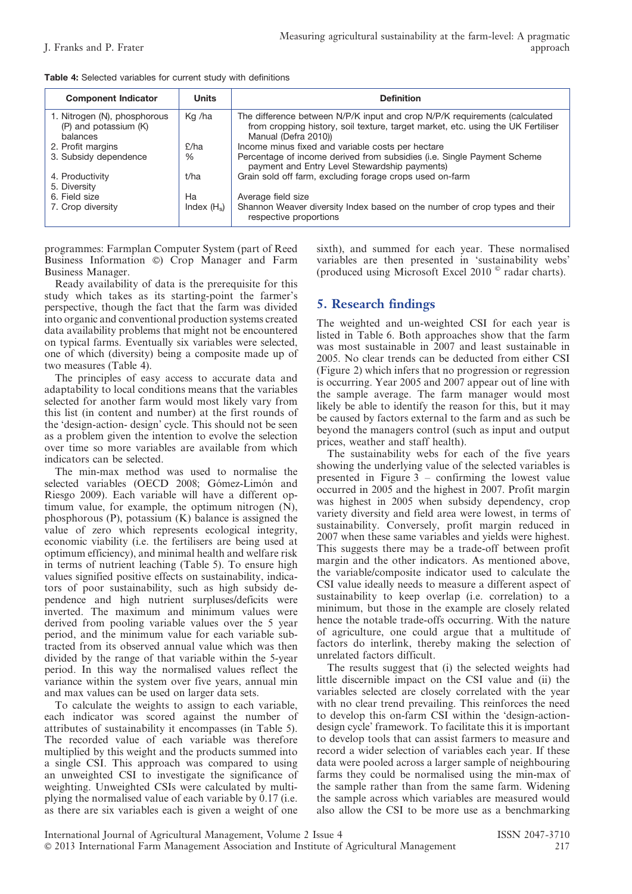| <b>Component Indicator</b>                                        | <b>Units</b>  | <b>Definition</b>                                                                                                                                                                      |
|-------------------------------------------------------------------|---------------|----------------------------------------------------------------------------------------------------------------------------------------------------------------------------------------|
| 1. Nitrogen (N), phosphorous<br>(P) and potassium (K)<br>balances | Kg /ha        | The difference between N/P/K input and crop N/P/K requirements (calculated<br>from cropping history, soil texture, target market, etc. using the UK Fertiliser<br>Manual (Defra 2010)) |
| 2. Profit margins                                                 | E/ha          | Income minus fixed and variable costs per hectare                                                                                                                                      |
| 3. Subsidy dependence                                             | $\%$          | Percentage of income derived from subsidies (i.e. Single Payment Scheme<br>payment and Entry Level Stewardship payments)                                                               |
| 4. Productivity<br>5. Diversity                                   | t/ha          | Grain sold off farm, excluding forage crops used on-farm                                                                                                                               |
| 6. Field size                                                     | Ha            | Average field size                                                                                                                                                                     |
| 7. Crop diversity                                                 | Index $(H_e)$ | Shannon Weaver diversity Index based on the number of crop types and their<br>respective proportions                                                                                   |

programmes: Farmplan Computer System (part of Reed Business Information  $\circ$ ) Crop Manager and Farm Business Manager.

Ready availability of data is the prerequisite for this study which takes as its starting-point the farmer's perspective, though the fact that the farm was divided into organic and conventional production systems created data availability problems that might not be encountered on typical farms. Eventually six variables were selected, one of which (diversity) being a composite made up of two measures (Table 4).

The principles of easy access to accurate data and adaptability to local conditions means that the variables selected for another farm would most likely vary from this list (in content and number) at the first rounds of the 'design-action- design' cycle. This should not be seen as a problem given the intention to evolve the selection over time so more variables are available from which indicators can be selected.

The min-max method was used to normalise the selected variables (OECD 2008; Gómez-Limón and Riesgo 2009). Each variable will have a different optimum value, for example, the optimum nitrogen (N), phosphorous (P), potassium (K) balance is assigned the value of zero which represents ecological integrity, economic viability (i.e. the fertilisers are being used at optimum efficiency), and minimal health and welfare risk in terms of nutrient leaching (Table 5). To ensure high values signified positive effects on sustainability, indicators of poor sustainability, such as high subsidy dependence and high nutrient surpluses/deficits were inverted. The maximum and minimum values were derived from pooling variable values over the 5 year period, and the minimum value for each variable subtracted from its observed annual value which was then divided by the range of that variable within the 5-year period. In this way the normalised values reflect the variance within the system over five years, annual min and max values can be used on larger data sets.

To calculate the weights to assign to each variable, each indicator was scored against the number of attributes of sustainability it encompasses (in Table 5). The recorded value of each variable was therefore multiplied by this weight and the products summed into a single CSI. This approach was compared to using an unweighted CSI to investigate the significance of weighting. Unweighted CSIs were calculated by multiplying the normalised value of each variable by 0.17 (i.e. as there are six variables each is given a weight of one

sixth), and summed for each year. These normalised variables are then presented in 'sustainability webs' (produced using Microsoft Excel 2010 $^{\circ}$  radar charts).

# 5. Research findings

The weighted and un-weighted CSI for each year is listed in Table 6. Both approaches show that the farm was most sustainable in 2007 and least sustainable in 2005. No clear trends can be deducted from either CSI (Figure 2) which infers that no progression or regression is occurring. Year 2005 and 2007 appear out of line with the sample average. The farm manager would most likely be able to identify the reason for this, but it may be caused by factors external to the farm and as such be beyond the managers control (such as input and output prices, weather and staff health).

The sustainability webs for each of the five years showing the underlying value of the selected variables is presented in Figure 3 – confirming the lowest value occurred in 2005 and the highest in 2007. Profit margin was highest in 2005 when subsidy dependency, crop variety diversity and field area were lowest, in terms of sustainability. Conversely, profit margin reduced in 2007 when these same variables and yields were highest. This suggests there may be a trade-off between profit margin and the other indicators. As mentioned above, the variable/composite indicator used to calculate the CSI value ideally needs to measure a different aspect of sustainability to keep overlap (i.e. correlation) to a minimum, but those in the example are closely related hence the notable trade-offs occurring. With the nature of agriculture, one could argue that a multitude of factors do interlink, thereby making the selection of unrelated factors difficult.

The results suggest that (i) the selected weights had little discernible impact on the CSI value and (ii) the variables selected are closely correlated with the year with no clear trend prevailing. This reinforces the need to develop this on-farm CSI within the 'design-actiondesign cycle' framework. To facilitate this it is important to develop tools that can assist farmers to measure and record a wider selection of variables each year. If these data were pooled across a larger sample of neighbouring farms they could be normalised using the min-max of the sample rather than from the same farm. Widening the sample across which variables are measured would also allow the CSI to be more use as a benchmarking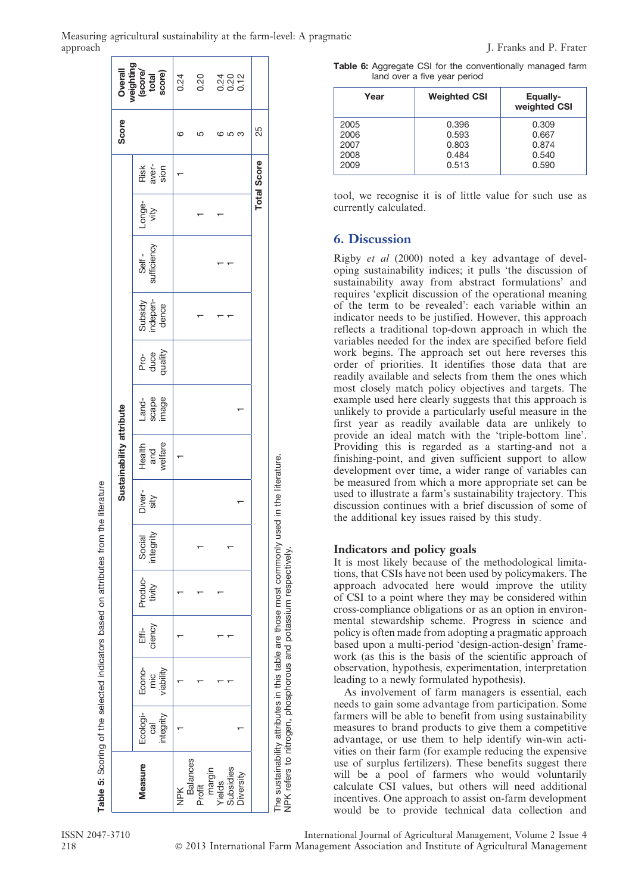|          | Measuring agricultural sustainability at the farm-level: A pragmatic |  |  |
|----------|----------------------------------------------------------------------|--|--|
| approach |                                                                      |  |  |

| Score                    | Overall<br>weighting<br>(score/<br>total<br>total<br>score) | 0.24<br>ဖ | 0.20<br>5                 |                  | 3202<br>2020<br>ပေ လ |                  | 25                 |                                                                                                                                                                |
|--------------------------|-------------------------------------------------------------|-----------|---------------------------|------------------|----------------------|------------------|--------------------|----------------------------------------------------------------------------------------------------------------------------------------------------------------|
|                          |                                                             |           |                           |                  |                      |                  |                    |                                                                                                                                                                |
|                          | Risk<br>aver-<br>sion                                       |           |                           |                  |                      |                  | <b>Total Score</b> |                                                                                                                                                                |
|                          | Longe-<br>vity                                              |           |                           |                  |                      |                  |                    |                                                                                                                                                                |
|                          | Self -<br>sufficiency                                       |           |                           |                  |                      |                  |                    |                                                                                                                                                                |
|                          | Subsidy<br>indepen-<br>dence                                |           |                           |                  |                      |                  |                    |                                                                                                                                                                |
|                          | Pro-<br>duce<br>quality                                     |           |                           |                  |                      |                  |                    |                                                                                                                                                                |
|                          | Land-<br>scape<br>image                                     |           |                           |                  |                      |                  |                    |                                                                                                                                                                |
| Sustainability attribute | and<br>welfare<br>Health                                    |           |                           |                  |                      |                  |                    |                                                                                                                                                                |
|                          | Diver-<br>sity                                              |           |                           |                  |                      |                  |                    |                                                                                                                                                                |
|                          | integrity<br>Social                                         |           |                           |                  |                      |                  |                    |                                                                                                                                                                |
|                          | Produc-<br>tivity                                           |           |                           |                  |                      |                  |                    |                                                                                                                                                                |
|                          | ciency<br>ŧ                                                 |           |                           |                  |                      |                  |                    |                                                                                                                                                                |
|                          | Econo-<br>viability<br>mic                                  |           |                           |                  |                      |                  |                    |                                                                                                                                                                |
|                          | Ecologi-<br>integrity<br>ලි                                 |           |                           |                  |                      |                  |                    |                                                                                                                                                                |
|                          | <b>Measure</b>                                              | NPK       | <b>Balances</b><br>Profit | margin<br>Yields | Subsidies            | <b>Diversity</b> |                    | The sustainability attributes in this table are those most commonly used in the literature.<br>NPK refers to nitrogen, phosphorous and potassium respectively. |

Table 6: Aggregate CSI for the conventionally managed farm land over a five year period

| Year | <b>Weighted CSI</b> | Equally-<br>weighted CSI |
|------|---------------------|--------------------------|
| 2005 | 0.396               | 0.309                    |
| 2006 | 0.593               | 0.667                    |
| 2007 | 0.803               | 0.874                    |
| 2008 | 0.484               | 0.540                    |
| 2009 | 0.513               | 0.590                    |

tool, we recognise it is of little value for such use as currently calculated.

# 6. Discussion

Rigby et al (2000) noted a key advantage of developing sustainability indices; it pulls 'the discussion of sustainability away from abstract formulations' and requires 'explicit discussion of the operational meaning of the term to be revealed': each variable within an indicator needs to be justified. However, this approach reflects a traditional top-down approach in which the variables needed for the index are specified before field work begins. The approach set out here reverses this order of priorities. It identifies those data that are readily available and selects from them the ones which most closely match policy objectives and targets. The example used here clearly suggests that this approach is unlikely to provide a particularly useful measure in the first year as readily available data are unlikely to provide an ideal match with the 'triple-bottom line'. Providing this is regarded as a starting-and not a finishing-point, and given sufficient support to allow development over time, a wider range of variables can be measured from which a more appropriate set can be used to illustrate a farm's sustainability trajectory. This discussion continues with a brief discussion of some of the additional key issues raised by this study.

#### Indicators and policy goals

It is most likely because of the methodological limitations, that CSIs have not been used by policymakers. The approach advocated here would improve the utility of CSI to a point where they may be considered within cross-compliance obligations or as an option in environmental stewardship scheme. Progress in science and policy is often made from adopting a pragmatic approach based upon a multi-period 'design-action-design' framework (as this is the basis of the scientific approach of observation, hypothesis, experimentation, interpretation leading to a newly formulated hypothesis).

As involvement of farm managers is essential, each needs to gain some advantage from participation. Some farmers will be able to benefit from using sustainability measures to brand products to give them a competitive advantage, or use them to help identify win-win activities on their farm (for example reducing the expensive use of surplus fertilizers). These benefits suggest there will be a pool of farmers who would voluntarily calculate CSI values, but others will need additional incentives. One approach to assist on-farm development would be to provide technical data collection and

Table 5: Scoring of the selected indicators based on attributes from the literature

Scoring of the selected indicators based on attributes from the literature

ISSN 2047-3710 International Journal of Agricultural Management, Volume 2 Issue 4 218 ' 2013 International Farm Management Association and Institute of Agricultural Management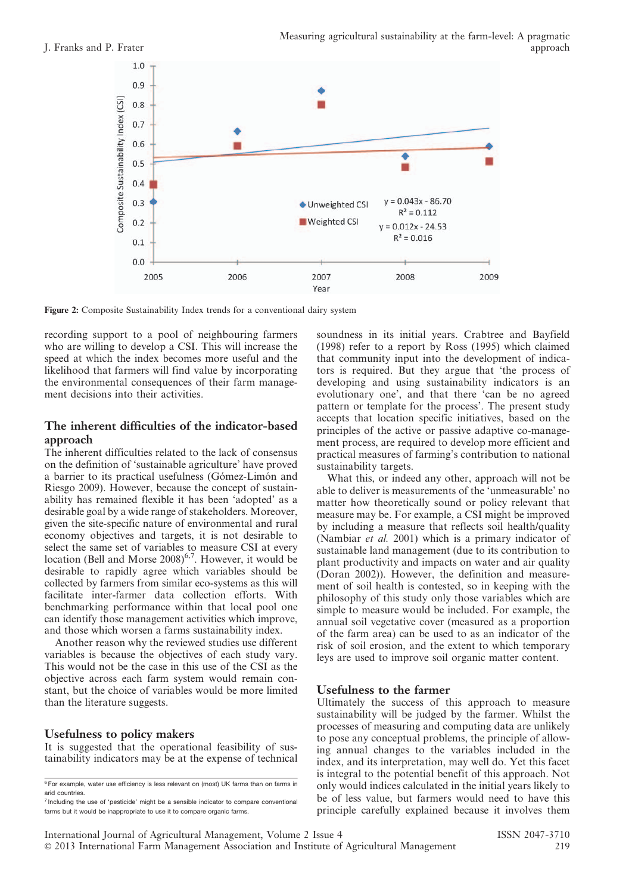

Figure 2: Composite Sustainability Index trends for a conventional dairy system

recording support to a pool of neighbouring farmers who are willing to develop a CSI. This will increase the speed at which the index becomes more useful and the likelihood that farmers will find value by incorporating the environmental consequences of their farm management decisions into their activities.

#### The inherent difficulties of the indicator-based approach

The inherent difficulties related to the lack of consensus on the definition of 'sustainable agriculture' have proved a barrier to its practical usefulness (Gómez-Limón and Riesgo 2009). However, because the concept of sustainability has remained flexible it has been 'adopted' as a desirable goal by a wide range of stakeholders. Moreover, given the site-specific nature of environmental and rural economy objectives and targets, it is not desirable to select the same set of variables to measure CSI at every location (Bell and Morse  $2008$ )<sup>6,7</sup>. However, it would be desirable to rapidly agree which variables should be collected by farmers from similar eco-systems as this will facilitate inter-farmer data collection efforts. With benchmarking performance within that local pool one can identify those management activities which improve, and those which worsen a farms sustainability index.

Another reason why the reviewed studies use different variables is because the objectives of each study vary. This would not be the case in this use of the CSI as the objective across each farm system would remain constant, but the choice of variables would be more limited than the literature suggests.

### Usefulness to policy makers

It is suggested that the operational feasibility of sustainability indicators may be at the expense of technical soundness in its initial years. Crabtree and Bayfield (1998) refer to a report by Ross (1995) which claimed that community input into the development of indicators is required. But they argue that 'the process of developing and using sustainability indicators is an evolutionary one', and that there 'can be no agreed pattern or template for the process'. The present study accepts that location specific initiatives, based on the principles of the active or passive adaptive co-management process, are required to develop more efficient and practical measures of farming's contribution to national sustainability targets.

What this, or indeed any other, approach will not be able to deliver is measurements of the 'unmeasurable' no matter how theoretically sound or policy relevant that measure may be. For example, a CSI might be improved by including a measure that reflects soil health/quality (Nambiar et al. 2001) which is a primary indicator of sustainable land management (due to its contribution to plant productivity and impacts on water and air quality (Doran 2002)). However, the definition and measurement of soil health is contested, so in keeping with the philosophy of this study only those variables which are simple to measure would be included. For example, the annual soil vegetative cover (measured as a proportion of the farm area) can be used to as an indicator of the risk of soil erosion, and the extent to which temporary leys are used to improve soil organic matter content.

#### Usefulness to the farmer

Ultimately the success of this approach to measure sustainability will be judged by the farmer. Whilst the processes of measuring and computing data are unlikely to pose any conceptual problems, the principle of allowing annual changes to the variables included in the index, and its interpretation, may well do. Yet this facet is integral to the potential benefit of this approach. Not only would indices calculated in the initial years likely to be of less value, but farmers would need to have this principle carefully explained because it involves them

<sup>&</sup>lt;sup>6</sup> For example, water use efficiency is less relevant on (most) UK farms than on farms in arid countries.

 $<sup>7</sup>$  Including the use of 'pesticide' might be a sensible indicator to compare conventional</sup> farms but it would be inappropriate to use it to compare organic farms.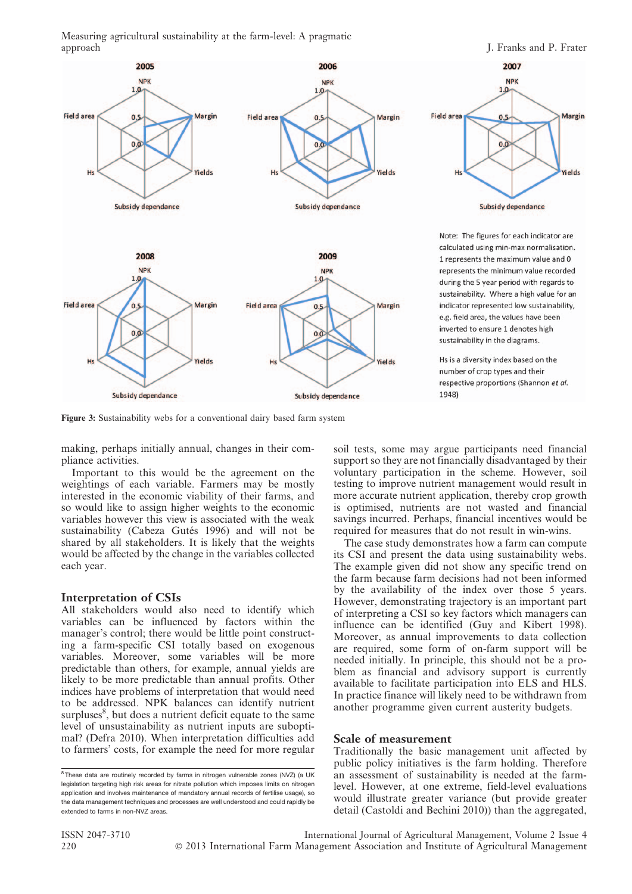Measuring agricultural sustainability at the farm-level: A pragmatic



Figure 3: Sustainability webs for a conventional dairy based farm system

making, perhaps initially annual, changes in their compliance activities.

Important to this would be the agreement on the weightings of each variable. Farmers may be mostly interested in the economic viability of their farms, and so would like to assign higher weights to the economic variables however this view is associated with the weak sustainability (Cabeza Gutés 1996) and will not be shared by all stakeholders. It is likely that the weights would be affected by the change in the variables collected each year.

#### Interpretation of CSIs

All stakeholders would also need to identify which variables can be influenced by factors within the manager's control; there would be little point constructing a farm-specific CSI totally based on exogenous variables. Moreover, some variables will be more predictable than others, for example, annual yields are likely to be more predictable than annual profits. Other indices have problems of interpretation that would need to be addressed. NPK balances can identify nutrient surpluses<sup>8</sup>, but does a nutrient deficit equate to the same level of unsustainability as nutrient inputs are suboptimal? (Defra 2010). When interpretation difficulties add to farmers' costs, for example the need for more regular soil tests, some may argue participants need financial support so they are not financially disadvantaged by their voluntary participation in the scheme. However, soil testing to improve nutrient management would result in more accurate nutrient application, thereby crop growth is optimised, nutrients are not wasted and financial savings incurred. Perhaps, financial incentives would be required for measures that do not result in win-wins.

The case study demonstrates how a farm can compute its CSI and present the data using sustainability webs. The example given did not show any specific trend on the farm because farm decisions had not been informed by the availability of the index over those 5 years. However, demonstrating trajectory is an important part of interpreting a CSI so key factors which managers can influence can be identified (Guy and Kibert 1998). Moreover, as annual improvements to data collection are required, some form of on-farm support will be needed initially. In principle, this should not be a problem as financial and advisory support is currently available to facilitate participation into ELS and HLS. In practice finance will likely need to be withdrawn from another programme given current austerity budgets.

#### Scale of measurement

Traditionally the basic management unit affected by public policy initiatives is the farm holding. Therefore an assessment of sustainability is needed at the farmlevel. However, at one extreme, field-level evaluations would illustrate greater variance (but provide greater detail (Castoldi and Bechini 2010)) than the aggregated,

<sup>&</sup>lt;sup>8</sup> These data are routinely recorded by farms in nitrogen vulnerable zones (NVZ) (a UK legislation targeting high risk areas for nitrate pollution which imposes limits on nitrogen application and involves maintenance of mandatory annual records of fertilise usage), so the data management techniques and processes are well understood and could rapidly be extended to farms in non-NVZ areas.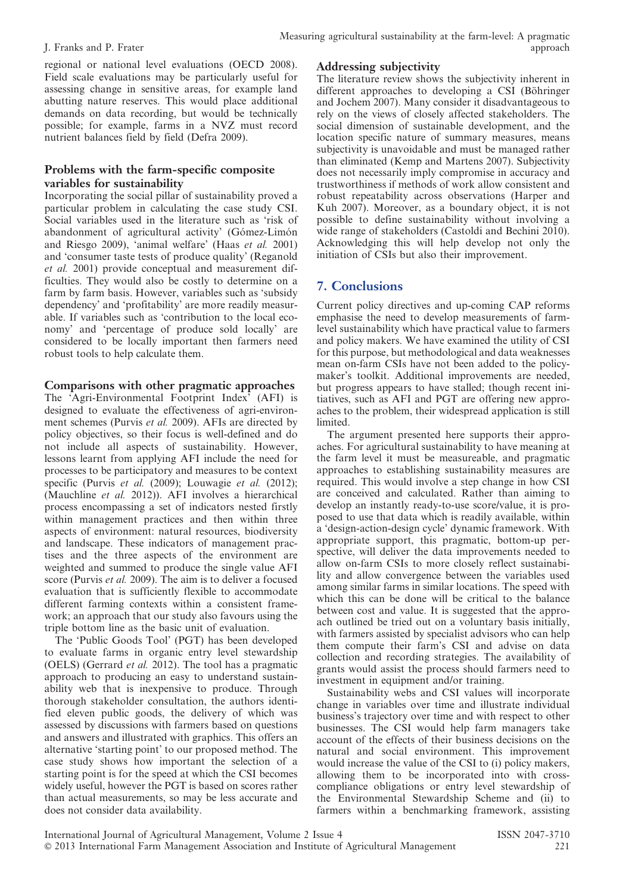regional or national level evaluations (OECD 2008). Field scale evaluations may be particularly useful for assessing change in sensitive areas, for example land abutting nature reserves. This would place additional demands on data recording, but would be technically possible; for example, farms in a NVZ must record nutrient balances field by field (Defra 2009).

### Problems with the farm-specific composite variables for sustainability

Incorporating the social pillar of sustainability proved a particular problem in calculating the case study CSI. Social variables used in the literature such as 'risk of abandonment of agricultural activity' (Gómez-Limón and Riesgo 2009), 'animal welfare' (Haas et al. 2001) and 'consumer taste tests of produce quality' (Reganold et al. 2001) provide conceptual and measurement difficulties. They would also be costly to determine on a farm by farm basis. However, variables such as 'subsidy dependency' and 'profitability' are more readily measurable. If variables such as 'contribution to the local economy' and 'percentage of produce sold locally' are considered to be locally important then farmers need robust tools to help calculate them.

#### Comparisons with other pragmatic approaches

The 'Agri-Environmental Footprint Index' (AFI) is designed to evaluate the effectiveness of agri-environment schemes (Purvis et al. 2009). AFIs are directed by policy objectives, so their focus is well-defined and do not include all aspects of sustainability. However, lessons learnt from applying AFI include the need for processes to be participatory and measures to be context specific (Purvis et al. (2009); Louwagie et al. (2012); (Mauchline et al. 2012)). AFI involves a hierarchical process encompassing a set of indicators nested firstly within management practices and then within three aspects of environment: natural resources, biodiversity and landscape. These indicators of management practises and the three aspects of the environment are weighted and summed to produce the single value AFI score (Purvis et al. 2009). The aim is to deliver a focused evaluation that is sufficiently flexible to accommodate different farming contexts within a consistent framework; an approach that our study also favours using the triple bottom line as the basic unit of evaluation.

The 'Public Goods Tool' (PGT) has been developed to evaluate farms in organic entry level stewardship (OELS) (Gerrard et al. 2012). The tool has a pragmatic approach to producing an easy to understand sustainability web that is inexpensive to produce. Through thorough stakeholder consultation, the authors identified eleven public goods, the delivery of which was assessed by discussions with farmers based on questions and answers and illustrated with graphics. This offers an alternative 'starting point' to our proposed method. The case study shows how important the selection of a starting point is for the speed at which the CSI becomes widely useful, however the PGT is based on scores rather than actual measurements, so may be less accurate and does not consider data availability.

### Addressing subjectivity

The literature review shows the subjectivity inherent in different approaches to developing a CSI (Böhringer and Jochem 2007). Many consider it disadvantageous to rely on the views of closely affected stakeholders. The social dimension of sustainable development, and the location specific nature of summary measures, means subjectivity is unavoidable and must be managed rather than eliminated (Kemp and Martens 2007). Subjectivity does not necessarily imply compromise in accuracy and trustworthiness if methods of work allow consistent and robust repeatability across observations (Harper and Kuh 2007). Moreover, as a boundary object, it is not possible to define sustainability without involving a wide range of stakeholders (Castoldi and Bechini 2010). Acknowledging this will help develop not only the initiation of CSIs but also their improvement.

# 7. Conclusions

Current policy directives and up-coming CAP reforms emphasise the need to develop measurements of farmlevel sustainability which have practical value to farmers and policy makers. We have examined the utility of CSI for this purpose, but methodological and data weaknesses mean on-farm CSIs have not been added to the policymaker's toolkit. Additional improvements are needed, but progress appears to have stalled; though recent initiatives, such as AFI and PGT are offering new approaches to the problem, their widespread application is still limited.

The argument presented here supports their approaches. For agricultural sustainability to have meaning at the farm level it must be measureable, and pragmatic approaches to establishing sustainability measures are required. This would involve a step change in how CSI are conceived and calculated. Rather than aiming to develop an instantly ready-to-use score/value, it is proposed to use that data which is readily available, within a 'design-action-design cycle' dynamic framework. With appropriate support, this pragmatic, bottom-up perspective, will deliver the data improvements needed to allow on-farm CSIs to more closely reflect sustainability and allow convergence between the variables used among similar farms in similar locations. The speed with which this can be done will be critical to the balance between cost and value. It is suggested that the approach outlined be tried out on a voluntary basis initially, with farmers assisted by specialist advisors who can help them compute their farm's CSI and advise on data collection and recording strategies. The availability of grants would assist the process should farmers need to investment in equipment and/or training.

Sustainability webs and CSI values will incorporate change in variables over time and illustrate individual business's trajectory over time and with respect to other businesses. The CSI would help farm managers take account of the effects of their business decisions on the natural and social environment. This improvement would increase the value of the CSI to (i) policy makers, allowing them to be incorporated into with crosscompliance obligations or entry level stewardship of the Environmental Stewardship Scheme and (ii) to farmers within a benchmarking framework, assisting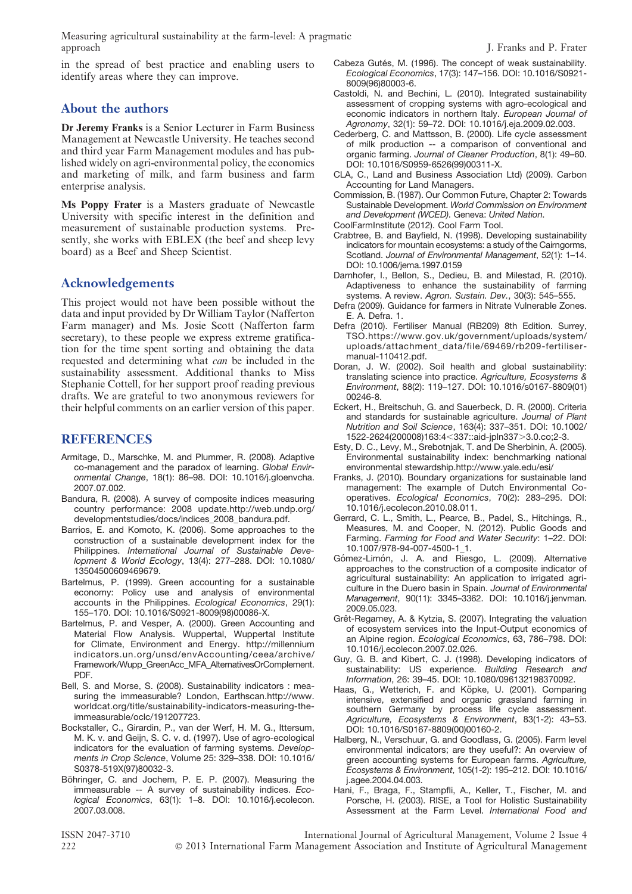Measuring agricultural sustainability at the farm-level: A pragmatic

in the spread of best practice and enabling users to identify areas where they can improve.

# About the authors

Dr Jeremy Franks is a Senior Lecturer in Farm Business Management at Newcastle University. He teaches second and third year Farm Management modules and has published widely on agri-environmental policy, the economics and marketing of milk, and farm business and farm enterprise analysis.

Ms Poppy Frater is a Masters graduate of Newcastle University with specific interest in the definition and measurement of sustainable production systems. Presently, she works with EBLEX (the beef and sheep levy board) as a Beef and Sheep Scientist.

# Acknowledgements

This project would not have been possible without the data and input provided by Dr William Taylor (Nafferton Farm manager) and Ms. Josie Scott (Nafferton farm secretary), to these people we express extreme gratification for the time spent sorting and obtaining the data requested and determining what can be included in the sustainability assessment. Additional thanks to Miss Stephanie Cottell, for her support proof reading previous drafts. We are grateful to two anonymous reviewers for their helpful comments on an earlier version of this paper.

# REFERENCES

- Armitage, D., Marschke, M. and Plummer, R. (2008). Adaptive co-management and the paradox of learning. Global Environmental Change, 18(1): 86–98. DOI: 10.1016/j.gloenvcha. 2007.07.002.
- Bandura, R. (2008). A survey of composite indices measuring country performance: 2008 update.http://web.undp.org/ developmentstudies/docs/indices\_2008\_bandura.pdf.
- Barrios, E. and Komoto, K. (2006). Some approaches to the construction of a sustainable development index for the Philippines. International Journal of Sustainable Development & World Ecology, 13(4): 277–288. DOI: 10.1080/ 13504500609469679.
- Bartelmus, P. (1999). Green accounting for a sustainable economy: Policy use and analysis of environmental accounts in the Philippines. Ecological Economics, 29(1): 155–170. DOI: 10.1016/S0921-8009(98)00086-X.
- Bartelmus, P. and Vesper, A. (2000). Green Accounting and Material Flow Analysis. Wuppertal, Wuppertal Institute for Climate, Environment and Energy. http://millennium indicators.un.org/unsd/envAccounting/ceea/archive/ Framework/Wupp\_GreenAcc\_MFA\_AlternativesOrComplement. PDF.
- Bell, S. and Morse, S. (2008). Sustainability indicators : measuring the immeasurable? London, Earthscan.http://www. worldcat.org/title/sustainability-indicators-measuring-theimmeasurable/oclc/191207723.
- Bockstaller, C., Girardin, P., van der Werf, H. M. G., Ittersum, M. K. v. and Geijn, S. C. v. d. (1997). Use of agro-ecological indicators for the evaluation of farming systems. Developments in Crop Science, Volume 25: 329–338. DOI: 10.1016/ S0378-519X(97)80032-3.
- Böhringer, C. and Jochem, P. E. P. (2007). Measuring the immeasurable -- A survey of sustainability indices. Ecological Economics, 63(1): 1–8. DOI: 10.1016/j.ecolecon. 2007.03.008.
- Cabeza Gutés, M. (1996). The concept of weak sustainability. Ecological Economics, 17(3): 147–156. DOI: 10.1016/S0921- 8009(96)80003-6.
- Castoldi, N. and Bechini, L. (2010). Integrated sustainability assessment of cropping systems with agro-ecological and economic indicators in northern Italy. European Journal of Agronomy, 32(1): 59–72. DOI: 10.1016/j.eja.2009.02.003.
- Cederberg, C. and Mattsson, B. (2000). Life cycle assessment of milk production -- a comparison of conventional and organic farming. Journal of Cleaner Production, 8(1): 49–60. DOI: 10.1016/S0959-6526(99)00311-X.
- CLA, C., Land and Business Association Ltd) (2009). Carbon Accounting for Land Managers.
- Commission, B. (1987). Our Common Future, Chapter 2: Towards Sustainable Development. World Commission on Environment and Development (WCED). Geneva: United Nation.
- CoolFarmInstitute (2012). Cool Farm Tool.
- Crabtree, B. and Bayfield, N. (1998). Developing sustainability indicators for mountain ecosystems: a study of the Cairngorms, Scotland. Journal of Environmental Management, 52(1): 1–14. DOI: 10.1006/jema.1997.0159
- Darnhofer, I., Bellon, S., Dedieu, B. and Milestad, R. (2010). Adaptiveness to enhance the sustainability of farming systems. A review. Agron. Sustain. Dev., 30(3): 545–555.
- Defra (2009). Guidance for farmers in Nitrate Vulnerable Zones. E. A. Defra. 1.
- Defra (2010). Fertiliser Manual (RB209) 8th Edition. Surrey, TSO.https://www.gov.uk/government/uploads/system/ uploads/attachment\_data/file/69469/rb209-fertilisermanual-110412.pdf.
- Doran, J. W. (2002). Soil health and global sustainability: translating science into practice. Agriculture, Ecosystems & Environment, 88(2): 119–127. DOI: 10.1016/s0167-8809(01) 00246-8.
- Eckert, H., Breitschuh, G. and Sauerbeck, D. R. (2000). Criteria and standards for sustainable agriculture. Journal of Plant Nutrition and Soil Science, 163(4): 337–351. DOI: 10.1002/ 1522-2624(200008)163:4<337::aid-jpln337>3.0.co;2-3.
- Esty, D. C., Levy, M., Srebotnjak, T. and De Sherbinin, A. (2005). Environmental sustainability index: benchmarking national environmental stewardship.http://www.yale.edu/esi/
- Franks, J. (2010). Boundary organizations for sustainable land management: The example of Dutch Environmental Cooperatives. Ecological Economics, 70(2): 283–295. DOI: 10.1016/j.ecolecon.2010.08.011.
- Gerrard, C. L., Smith, L., Pearce, B., Padel, S., Hitchings, R., Measures, M. and Cooper, N. (2012). Public Goods and Farming. Farming for Food and Water Security: 1–22. DOI: 10.1007/978-94-007-4500-1\_1.
- Gómez-Limón, J. A. and Riesgo, L. (2009). Alternative approaches to the construction of a composite indicator of agricultural sustainability: An application to irrigated agriculture in the Duero basin in Spain. Journal of Environmental Management, 90(11): 3345–3362. DOI: 10.1016/j.jenvman. 2009.05.023.
- Grêt-Regamey, A. & Kytzia, S. (2007). Integrating the valuation of ecosystem services into the Input-Output economics of an Alpine region. Ecological Economics, 63, 786–798. DOI: 10.1016/j.ecolecon.2007.02.026.
- Guy, G. B. and Kibert, C. J. (1998). Developing indicators of sustainability: US experience. Building Research and Information, 26: 39–45. DOI: 10.1080/096132198370092.
- Haas, G., Wetterich, F. and Köpke, U. (2001). Comparing intensive, extensified and organic grassland farming in southern Germany by process life cycle assessment. Agriculture, Ecosystems & Environment, 83(1-2): 43–53. DOI: 10.1016/S0167-8809(00)00160-2.
- Halberg, N., Verschuur, G. and Goodlass, G. (2005). Farm level environmental indicators; are they useful?: An overview of green accounting systems for European farms. Agriculture, Ecosystems & Environment, 105(1-2): 195–212. DOI: 10.1016/ j.agee.2004.04.003.
- Hani, F., Braga, F., Stampfli, A., Keller, T., Fischer, M. and Porsche, H. (2003). RISE, a Tool for Holistic Sustainability Assessment at the Farm Level. International Food and

ISSN 2047-3710 International Journal of Agricultural Management, Volume 2 Issue 4 222 **3** 2013 International Farm Management Association and Institute of Agricultural Management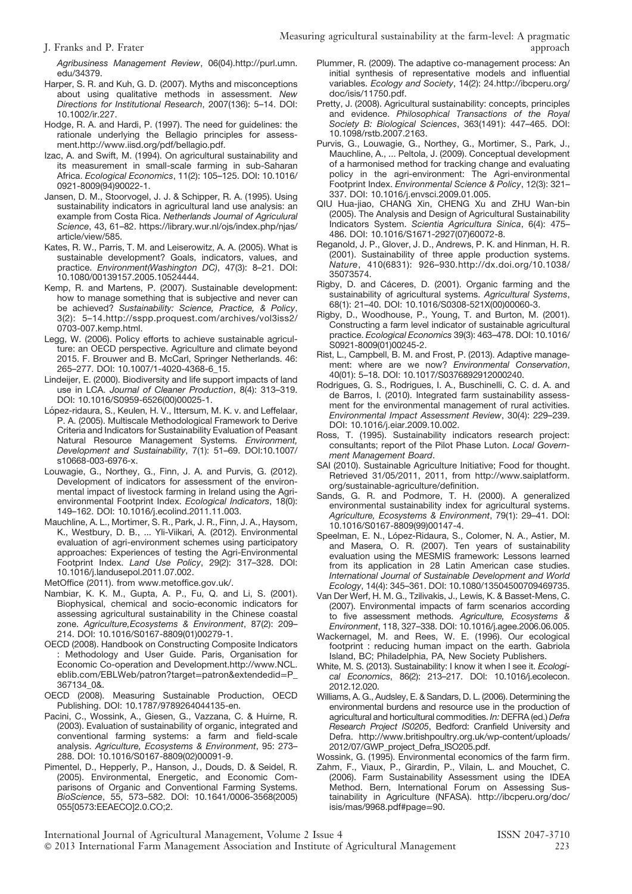J. Franks and P. Frater

Agribusiness Management Review, 06(04).http://purl.umn. edu/34379.

- Harper, S. R. and Kuh, G. D. (2007). Myths and misconceptions about using qualitative methods in assessment. New Directions for Institutional Research, 2007(136): 5–14. DOI: 10.1002/ir.227.
- Hodge, R. A. and Hardi, P. (1997). The need for guidelines: the rationale underlying the Bellagio principles for assessment.http://www.iisd.org/pdf/bellagio.pdf.
- Izac, A. and Swift, M. (1994). On agricultural sustainability and its measurement in small-scale farming in sub-Saharan Africa. Ecological Economics, 11(2): 105–125. DOI: 10.1016/ 0921-8009(94)90022-1.
- Jansen, D. M., Stoorvogel, J. J. & Schipper, R. A. (1995). Using sustainability indicators in agricultural land use analysis: an example from Costa Rica. Netherlands Journal of Agriculural Science, 43, 61–82. https://library.wur.nl/ojs/index.php/njas/ article/view/585.
- Kates, R. W., Parris, T. M. and Leiserowitz, A. A. (2005). What is sustainable development? Goals, indicators, values, and practice. Environment(Washington DC), 47(3): 8–21. DOI: 10.1080/00139157.2005.10524444.
- Kemp, R. and Martens, P. (2007). Sustainable development: how to manage something that is subjective and never can be achieved? Sustainability: Science, Practice, & Policy, 3(2): 5–14.http://sspp.proquest.com/archives/vol3iss2/ 0703-007.kemp.html.
- Legg, W. (2006). Policy efforts to achieve sustainable agriculture: an OECD perspective. Agriculture and climate beyond 2015. F. Brouwer and B. McCarl, Springer Netherlands. 46: 265–277. DOI: 10.1007/1-4020-4368-6\_15.
- Lindeijer, E. (2000). Biodiversity and life support impacts of land use in LCA. Journal of Cleaner Production, 8(4): 313–319. DOI: 10.1016/S0959-6526(00)00025-1.
- López-ridaura, S., Keulen, H. V., Ittersum, M. K. v. and Leffelaar, P. A. (2005). Multiscale Methodological Framework to Derive Criteria and Indicators for Sustainability Evaluation of Peasant Natural Resource Management Systems. Environment, Development and Sustainability, 7(1): 51–69. DOI:10.1007/ s10668-003-6976-x.
- Louwagie, G., Northey, G., Finn, J. A. and Purvis, G. (2012). Development of indicators for assessment of the environmental impact of livestock farming in Ireland using the Agrienvironmental Footprint Index. Ecological Indicators, 18(0): 149–162. DOI: 10.1016/j.ecolind.2011.11.003.
- Mauchline, A. L., Mortimer, S. R., Park, J. R., Finn, J. A., Haysom, K., Westbury, D. B., ... Yli-Viikari, A. (2012). Environmental evaluation of agri-environment schemes using participatory approaches: Experiences of testing the Agri-Environmental Footprint Index. Land Use Policy, 29(2): 317–328. DOI: 10.1016/j.landusepol.2011.07.002.

MetOffice (2011). from www.metoffice.gov.uk/.

- Nambiar, K. K. M., Gupta, A. P., Fu, Q. and Li, S. (2001). Biophysical, chemical and socio-economic indicators for assessing agricultural sustainability in the Chinese coastal zone. Agriculture,Ecosystems & Environment, 87(2): 209– 214. DOI: 10.1016/S0167-8809(01)00279-1.
- OECD (2008). Handbook on Constructing Composite Indicators : Methodology and User Guide. Paris, Organisation for Economic Co-operation and Development.http://www.NCL. eblib.com/EBLWeb/patron?target=patron&extendedid=P\_ 367134\_0&.
- OECD (2008). Measuring Sustainable Production, OECD Publishing. DOI: 10.1787/9789264044135-en.
- Pacini, C., Wossink, A., Giesen, G., Vazzana, C. & Huirne, R. (2003). Evaluation of sustainability of organic, integrated and conventional farming systems: a farm and field-scale analysis. Agriculture, Ecosystems & Environment, 95: 273– 288. DOI: 10.1016/S0167-8809(02)00091-9.
- Pimentel, D., Hepperly, P., Hanson, J., Douds, D. & Seidel, R. (2005). Environmental, Energetic, and Economic Comparisons of Organic and Conventional Farming Systems. BioScience, 55, 573–582. DOI: 10.1641/0006-3568(2005) 055[0573:EEAECO]2.0.CO;2.
- Measuring agricultural sustainability at the farm-level: A pragmatic
	- Plummer, R. (2009). The adaptive co-management process: An initial synthesis of representative models and influential variables. Ecology and Society, 14(2): 24.http://ibcperu.org/ doc/isis/11750.pdf.
	- Pretty, J. (2008). Agricultural sustainability: concepts, principles and evidence. Philosophical Transactions of the Royal Society B: Biological Sciences, 363(1491): 447–465. DOI: 10.1098/rstb.2007.2163.
	- Purvis, G., Louwagie, G., Northey, G., Mortimer, S., Park, J., Mauchline, A., ... Peltola, J. (2009). Conceptual development of a harmonised method for tracking change and evaluating policy in the agri-environment: The Agri-environmental Footprint Index. Environmental Science & Policy, 12(3): 321– 337. DOI: 10.1016/j.envsci.2009.01.005.
	- QIU Hua-jiao, CHANG Xin, CHENG Xu and ZHU Wan-bin (2005). The Analysis and Design of Agricultural Sustainability Indicators System. Scientia Agricultura Sinica, 6(4): 475– 486. DOI: 10.1016/S1671-2927(07)60072-8.
	- Reganold, J. P., Glover, J. D., Andrews, P. K. and Hinman, H. R. (2001). Sustainability of three apple production systems. Nature, 410(6831): 926–930.http://dx.doi.org/10.1038/ 35073574.
	- Rigby, D. and Cáceres, D. (2001). Organic farming and the sustainability of agricultural systems. Agricultural Systems, 68(1): 21–40. DOI: 10.1016/S0308-521X(00)00060-3.
	- Rigby, D., Woodhouse, P., Young, T. and Burton, M. (2001). Constructing a farm level indicator of sustainable agricultural practice. Ecological Economics 39(3): 463–478. DOI: 10.1016/ S0921-8009(01)00245-2.
	- Rist, L., Campbell, B. M. and Frost, P. (2013). Adaptive management: where are we now? Environmental Conservation, 40(01): 5–18. DOI: 10.1017/S0376892912000240.
	- Rodrigues, G. S., Rodrigues, I. A., Buschinelli, C. C. d. A. and de Barros, I. (2010). Integrated farm sustainability assessment for the environmental management of rural activities. Environmental Impact Assessment Review, 30(4): 229–239. DOI: 10.1016/j.eiar.2009.10.002.
	- Ross, T. (1995). Sustainability indicators research project: consultants; report of the Pilot Phase Luton. Local Government Management Board.
	- SAI (2010). Sustainable Agriculture Initiative; Food for thought. Retrieved 31/05/2011, 2011, from http://www.saiplatform. org/sustainable-agriculture/definition.
	- Sands, G. R. and Podmore, T. H. (2000). A generalized environmental sustainability index for agricultural systems. Agriculture, Ecosystems & Environment, 79(1): 29–41. DOI: 10.1016/S0167-8809(99)00147-4.
	- Speelman, E. N., López-Ridaura, S., Colomer, N. A., Astier, M. and Masera, O. R. (2007). Ten years of sustainability evaluation using the MESMIS framework: Lessons learned from its application in 28 Latin American case studies. International Journal of Sustainable Development and World Ecology, 14(4): 345–361. DOI: 10.1080/13504500709469735.
	- Van Der Werf, H. M. G., Tzilivakis, J., Lewis, K. & Basset-Mens, C. (2007). Environmental impacts of farm scenarios according to five assessment methods. Agriculture, Ecosystems & Environment, 118, 327–338. DOI: 10.1016/j.agee.2006.06.005.
	- Wackernagel, M. and Rees, W. E. (1996). Our ecological footprint : reducing human impact on the earth. Gabriola Island, BC; Philadelphia, PA, New Society Publishers.
	- White, M. S. (2013). Sustainability: I know it when I see it. Ecological Economics, 86(2): 213–217. DOI: 10.1016/j.ecolecon. 2012.12.020.
	- Williams, A. G., Audsley, E. & Sandars, D. L. (2006). Determining the environmental burdens and resource use in the production of agricultural and horticultural commodities. In: DEFRA (ed.) Defra Research Project IS0205, Bedford: Cranfield University and Defra. http://www.britishpoultry.org.uk/wp-content/uploads/ 2012/07/GWP\_project\_Defra\_ISO205.pdf.
	- Wossink, G. (1995). Environmental economics of the farm firm.
	- Zahm, F., Viaux, P., Girardin, P., Vilain, L. and Mouchet, C. (2006). Farm Sustainability Assessment using the IDEA Method. Bern, International Forum on Assessing Sustainability in Agriculture (NFASA). http://ibcperu.org/doc/ isis/mas/9968.pdf#page=90.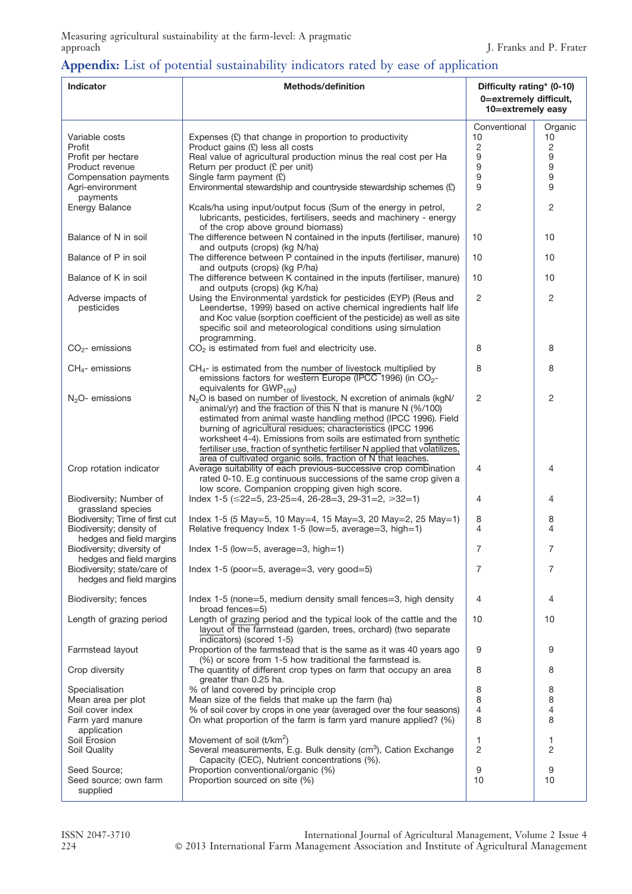# Appendix: List of potential sustainability indicators rated by ease of application

| Indicator                                                   | <b>Methods/definition</b>                                                                                                                                                                                                                                                                                                                                                                                                                            | Difficulty rating* (0-10)                   |               |  |
|-------------------------------------------------------------|------------------------------------------------------------------------------------------------------------------------------------------------------------------------------------------------------------------------------------------------------------------------------------------------------------------------------------------------------------------------------------------------------------------------------------------------------|---------------------------------------------|---------------|--|
|                                                             |                                                                                                                                                                                                                                                                                                                                                                                                                                                      | 0=extremely difficult,<br>10=extremely easy |               |  |
| Variable costs                                              | Expenses $(E)$ that change in proportion to productivity                                                                                                                                                                                                                                                                                                                                                                                             | Conventional<br>10                          | Organic<br>10 |  |
| Profit<br>Profit per hectare                                | Product gains (£) less all costs<br>Real value of agricultural production minus the real cost per Ha                                                                                                                                                                                                                                                                                                                                                 | 2<br>9                                      | 2<br>9        |  |
| Product revenue                                             | Return per product (£ per unit)                                                                                                                                                                                                                                                                                                                                                                                                                      | 9                                           | 9             |  |
| Compensation payments<br>Agri-environment<br>payments       | Single farm payment $(E)$<br>Environmental stewardship and countryside stewardship schemes (£)                                                                                                                                                                                                                                                                                                                                                       | 9<br>9                                      | 9<br>9        |  |
| <b>Energy Balance</b>                                       | Kcals/ha using input/output focus (Sum of the energy in petrol,<br>lubricants, pesticides, fertilisers, seeds and machinery - energy<br>of the crop above ground biomass)                                                                                                                                                                                                                                                                            | $\overline{2}$                              | 2             |  |
| Balance of N in soil                                        | The difference between N contained in the inputs (fertiliser, manure)<br>and outputs (crops) (kg N/ha)                                                                                                                                                                                                                                                                                                                                               | 10                                          | 10            |  |
| Balance of P in soil                                        | The difference between P contained in the inputs (fertiliser, manure)<br>and outputs (crops) (kg P/ha)                                                                                                                                                                                                                                                                                                                                               | 10                                          | 10            |  |
| Balance of K in soil                                        | The difference between K contained in the inputs (fertiliser, manure)<br>and outputs (crops) (kg K/ha)                                                                                                                                                                                                                                                                                                                                               | 10                                          | 10            |  |
| Adverse impacts of<br>pesticides                            | Using the Environmental yardstick for pesticides (EYP) (Reus and<br>Leendertse, 1999) based on active chemical ingredients half life<br>and Koc value (sorption coefficient of the pesticide) as well as site<br>specific soil and meteorological conditions using simulation<br>programming.                                                                                                                                                        | 2                                           | 2             |  |
| $CO2$ - emissions                                           | $CO2$ is estimated from fuel and electricity use.                                                                                                                                                                                                                                                                                                                                                                                                    | 8                                           | 8             |  |
| $CH4$ - emissions                                           | $CH4$ - is estimated from the number of livestock multiplied by<br>emissions factors for western Europe (IPCC 1996) (in CO <sub>2</sub> -<br>equivalents for $GWP_{100}$                                                                                                                                                                                                                                                                             | 8                                           | 8             |  |
| $N2O-$ emissions                                            | N <sub>2</sub> O is based on number of livestock, N excretion of animals (kgN/<br>animal/yr) and the fraction of this $\overline{N}$ that is manure N (%/100)<br>estimated from animal waste handling method (IPCC 1996). Field<br>burning of agricultural residues; characteristics (IPCC 1996<br>worksheet 4-4). Emissions from soils are estimated from synthetic<br>fertiliser use, fraction of synthetic fertiliser N applied that volatilizes, | $\overline{2}$                              | 2             |  |
| Crop rotation indicator                                     | area of cultivated organic soils, fraction of N that leaches.<br>Average suitability of each previous-successive crop combination<br>rated 0-10. E.g continuous successions of the same crop given a<br>low score. Companion cropping given high score.                                                                                                                                                                                              | 4                                           | 4             |  |
| Biodiversity; Number of<br>grassland species                | Index 1-5 ( $\leq$ 22=5, 23-25=4, 26-28=3, 29-31=2, $\geq$ 32=1)                                                                                                                                                                                                                                                                                                                                                                                     | 4                                           | 4             |  |
| Biodiversity; Time of first cut<br>Biodiversity; density of | Index 1-5 (5 May=5, 10 May=4, 15 May=3, 20 May=2, 25 May=1)<br>Relative frequency Index 1-5 (low=5, average=3, high=1)                                                                                                                                                                                                                                                                                                                               | 8<br>4                                      | 8<br>4        |  |
| hedges and field margins<br>Biodiversity; diversity of      | Index 1-5 (low=5, average=3, high=1)                                                                                                                                                                                                                                                                                                                                                                                                                 | 7                                           | $\prime$      |  |
| hedges and field margins<br>Biodiversity; state/care of     | Index 1-5 (poor=5, average=3, very good=5)                                                                                                                                                                                                                                                                                                                                                                                                           | 7                                           | 7             |  |
| hedges and field margins                                    |                                                                                                                                                                                                                                                                                                                                                                                                                                                      |                                             |               |  |
| Biodiversity; fences                                        | Index 1-5 (none=5, medium density small fences=3, high density<br>broad fences=5)                                                                                                                                                                                                                                                                                                                                                                    | 4                                           | 4             |  |
| Length of grazing period                                    | Length of grazing period and the typical look of the cattle and the<br>layout of the farmstead (garden, trees, orchard) (two separate<br>indicators) (scored 1-5)                                                                                                                                                                                                                                                                                    | 10                                          | 10            |  |
| Farmstead layout                                            | Proportion of the farmstead that is the same as it was 40 years ago<br>(%) or score from 1-5 how traditional the farmstead is.                                                                                                                                                                                                                                                                                                                       | 9                                           | 9             |  |
| Crop diversity                                              | The quantity of different crop types on farm that occupy an area<br>greater than 0.25 ha.                                                                                                                                                                                                                                                                                                                                                            | 8                                           | 8             |  |
| Specialisation                                              | % of land covered by principle crop                                                                                                                                                                                                                                                                                                                                                                                                                  | 8                                           | 8             |  |
| Mean area per plot<br>Soil cover index                      | Mean size of the fields that make up the farm (ha)<br>% of soil cover by crops in one year (averaged over the four seasons)                                                                                                                                                                                                                                                                                                                          | 8<br>4                                      | 8<br>4        |  |
| Farm yard manure<br>application                             | On what proportion of the farm is farm yard manure applied? (%)                                                                                                                                                                                                                                                                                                                                                                                      | 8                                           | 8             |  |
| Soil Erosion<br>Soil Quality                                | Movement of soil (t/km <sup>2</sup> )<br>Several measurements, E.g. Bulk density (cm <sup>3</sup> ), Cation Exchange                                                                                                                                                                                                                                                                                                                                 | 1<br>$\overline{2}$                         | 1<br>2        |  |
| Seed Source:                                                | Capacity (CEC), Nutrient concentrations (%).                                                                                                                                                                                                                                                                                                                                                                                                         |                                             | 9             |  |
| Seed source; own farm<br>supplied                           | Proportion conventional/organic (%)<br>Proportion sourced on site (%)                                                                                                                                                                                                                                                                                                                                                                                | 9<br>10                                     | 10            |  |

ISSN 2047-3710 International Journal of Agricultural Management, Volume 2 Issue 4 224 C 2013 International Farm Management Association and Institute of Agricultural Management